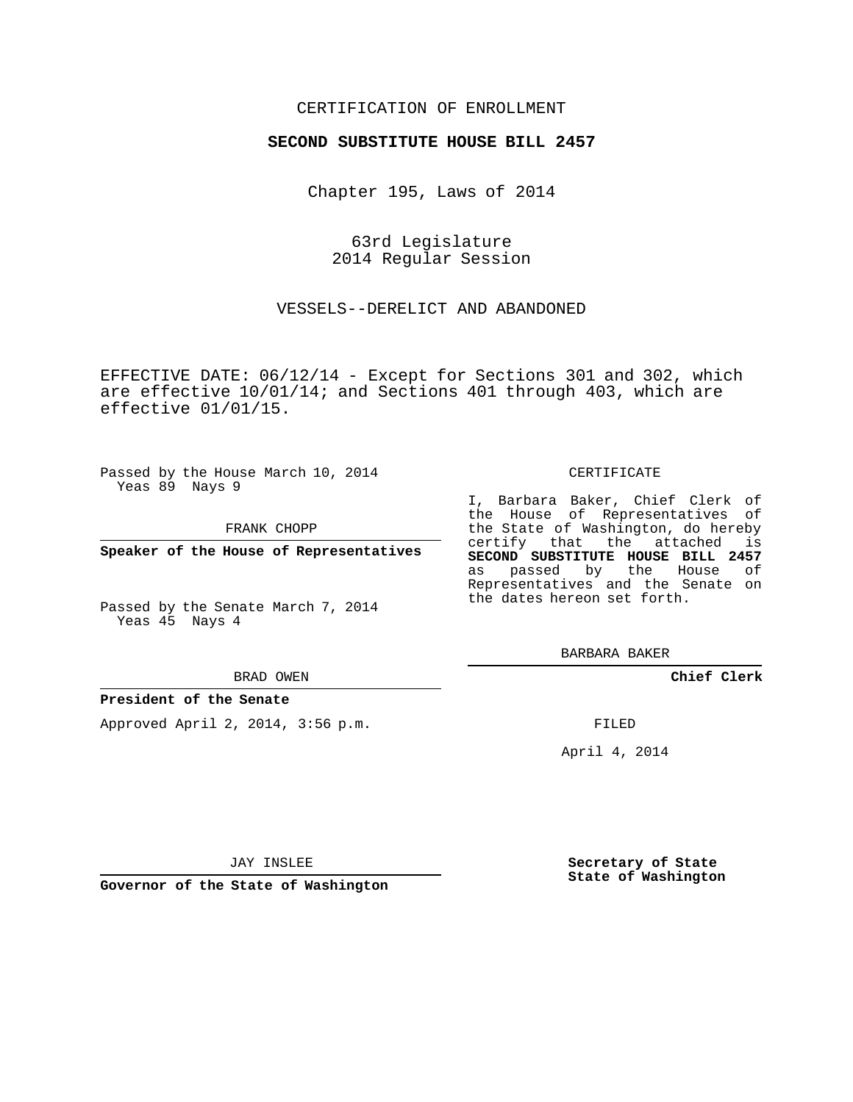### CERTIFICATION OF ENROLLMENT

### **SECOND SUBSTITUTE HOUSE BILL 2457**

Chapter 195, Laws of 2014

63rd Legislature 2014 Regular Session

VESSELS--DERELICT AND ABANDONED

EFFECTIVE DATE: 06/12/14 - Except for Sections 301 and 302, which are effective 10/01/14; and Sections 401 through 403, which are effective 01/01/15.

Passed by the House March 10, 2014 Yeas 89 Nays 9

FRANK CHOPP

**Speaker of the House of Representatives**

Passed by the Senate March 7, 2014 Yeas 45 Nays 4

BRAD OWEN

#### **President of the Senate**

Approved April 2, 2014, 3:56 p.m.

#### CERTIFICATE

I, Barbara Baker, Chief Clerk of the House of Representatives of the State of Washington, do hereby certify that the attached is **SECOND SUBSTITUTE HOUSE BILL 2457** as passed by the House of Representatives and the Senate on the dates hereon set forth.

BARBARA BAKER

**Chief Clerk**

FILED

April 4, 2014

JAY INSLEE

**Governor of the State of Washington**

**Secretary of State State of Washington**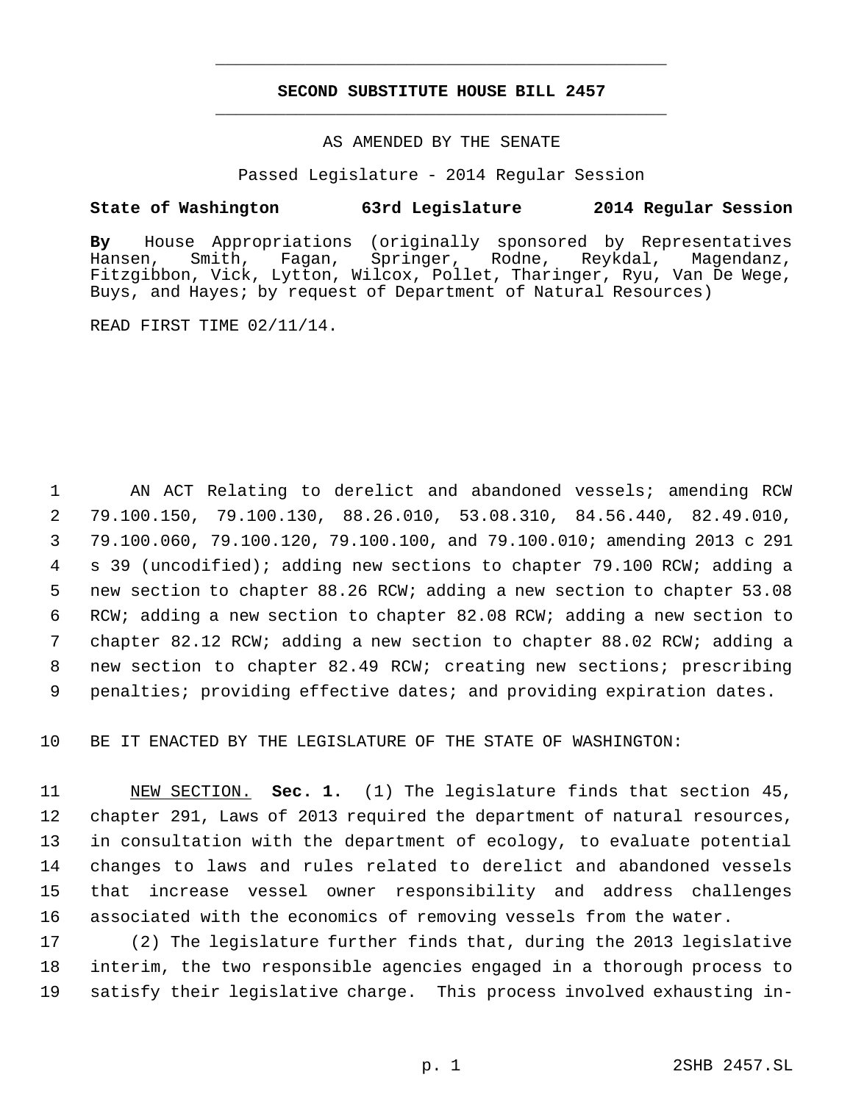## **SECOND SUBSTITUTE HOUSE BILL 2457** \_\_\_\_\_\_\_\_\_\_\_\_\_\_\_\_\_\_\_\_\_\_\_\_\_\_\_\_\_\_\_\_\_\_\_\_\_\_\_\_\_\_\_\_\_

\_\_\_\_\_\_\_\_\_\_\_\_\_\_\_\_\_\_\_\_\_\_\_\_\_\_\_\_\_\_\_\_\_\_\_\_\_\_\_\_\_\_\_\_\_

### AS AMENDED BY THE SENATE

Passed Legislature - 2014 Regular Session

### **State of Washington 63rd Legislature 2014 Regular Session**

**By** House Appropriations (originally sponsored by Representatives Hansen, Smith, Fagan, Springer, Rodne, Reykdal, Magendanz, Fitzgibbon, Vick, Lytton, Wilcox, Pollet, Tharinger, Ryu, Van De Wege, Buys, and Hayes; by request of Department of Natural Resources)

READ FIRST TIME 02/11/14.

 AN ACT Relating to derelict and abandoned vessels; amending RCW 79.100.150, 79.100.130, 88.26.010, 53.08.310, 84.56.440, 82.49.010, 79.100.060, 79.100.120, 79.100.100, and 79.100.010; amending 2013 c 291 s 39 (uncodified); adding new sections to chapter 79.100 RCW; adding a new section to chapter 88.26 RCW; adding a new section to chapter 53.08 RCW; adding a new section to chapter 82.08 RCW; adding a new section to chapter 82.12 RCW; adding a new section to chapter 88.02 RCW; adding a new section to chapter 82.49 RCW; creating new sections; prescribing 9 penalties; providing effective dates; and providing expiration dates.

10 BE IT ENACTED BY THE LEGISLATURE OF THE STATE OF WASHINGTON:

 NEW SECTION. **Sec. 1.** (1) The legislature finds that section 45, chapter 291, Laws of 2013 required the department of natural resources, in consultation with the department of ecology, to evaluate potential changes to laws and rules related to derelict and abandoned vessels that increase vessel owner responsibility and address challenges associated with the economics of removing vessels from the water.

17 (2) The legislature further finds that, during the 2013 legislative 18 interim, the two responsible agencies engaged in a thorough process to 19 satisfy their legislative charge. This process involved exhausting in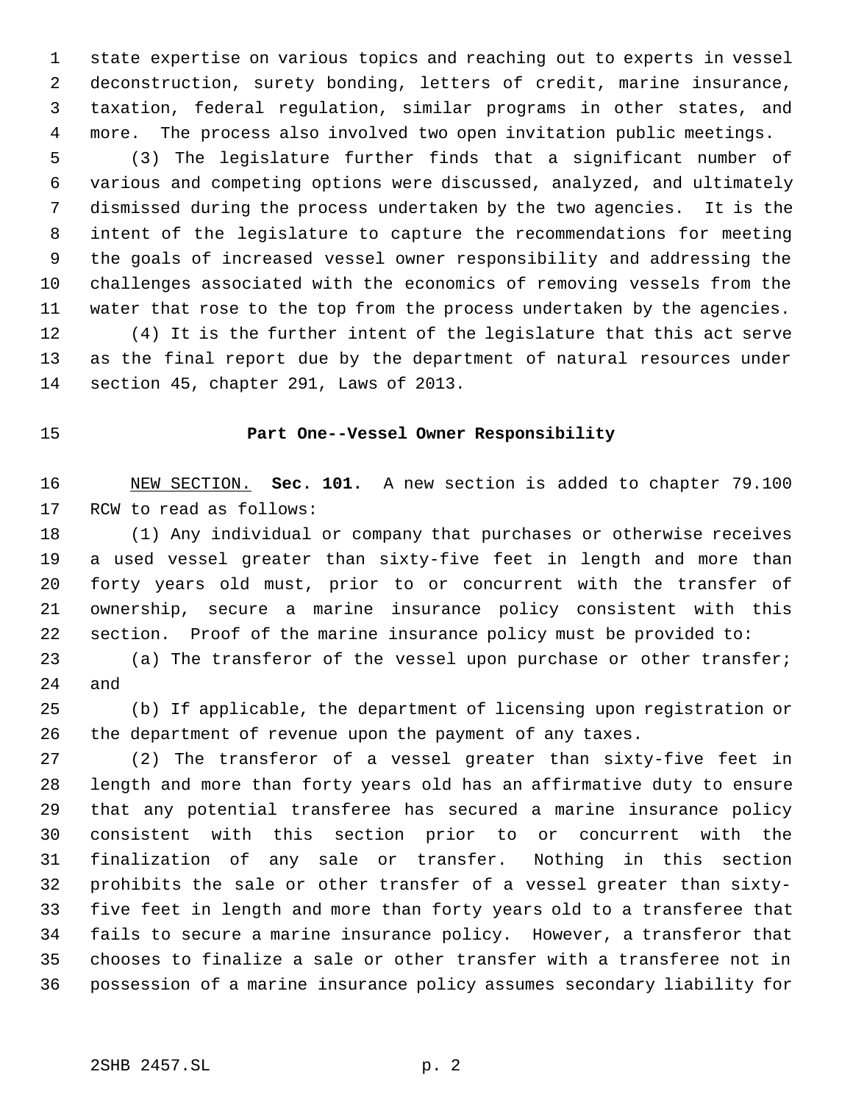state expertise on various topics and reaching out to experts in vessel deconstruction, surety bonding, letters of credit, marine insurance, taxation, federal regulation, similar programs in other states, and more. The process also involved two open invitation public meetings.

 (3) The legislature further finds that a significant number of various and competing options were discussed, analyzed, and ultimately dismissed during the process undertaken by the two agencies. It is the intent of the legislature to capture the recommendations for meeting the goals of increased vessel owner responsibility and addressing the challenges associated with the economics of removing vessels from the water that rose to the top from the process undertaken by the agencies. (4) It is the further intent of the legislature that this act serve as the final report due by the department of natural resources under

section 45, chapter 291, Laws of 2013.

### **Part One--Vessel Owner Responsibility**

 NEW SECTION. **Sec. 101.** A new section is added to chapter 79.100 RCW to read as follows:

 (1) Any individual or company that purchases or otherwise receives a used vessel greater than sixty-five feet in length and more than forty years old must, prior to or concurrent with the transfer of ownership, secure a marine insurance policy consistent with this section. Proof of the marine insurance policy must be provided to:

 (a) The transferor of the vessel upon purchase or other transfer; and

 (b) If applicable, the department of licensing upon registration or the department of revenue upon the payment of any taxes.

 (2) The transferor of a vessel greater than sixty-five feet in length and more than forty years old has an affirmative duty to ensure that any potential transferee has secured a marine insurance policy consistent with this section prior to or concurrent with the finalization of any sale or transfer. Nothing in this section prohibits the sale or other transfer of a vessel greater than sixty- five feet in length and more than forty years old to a transferee that fails to secure a marine insurance policy. However, a transferor that chooses to finalize a sale or other transfer with a transferee not in possession of a marine insurance policy assumes secondary liability for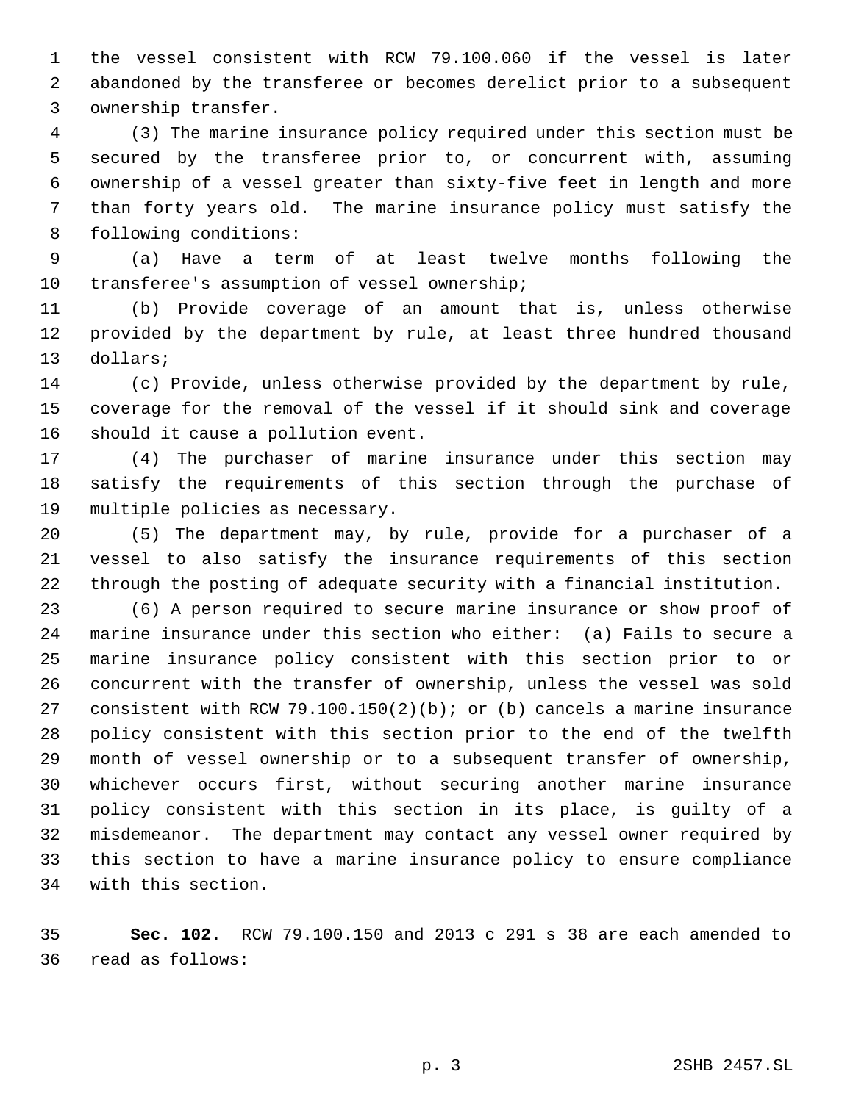the vessel consistent with RCW 79.100.060 if the vessel is later abandoned by the transferee or becomes derelict prior to a subsequent ownership transfer.

 (3) The marine insurance policy required under this section must be secured by the transferee prior to, or concurrent with, assuming ownership of a vessel greater than sixty-five feet in length and more than forty years old. The marine insurance policy must satisfy the following conditions:

 (a) Have a term of at least twelve months following the transferee's assumption of vessel ownership;

 (b) Provide coverage of an amount that is, unless otherwise provided by the department by rule, at least three hundred thousand dollars;

 (c) Provide, unless otherwise provided by the department by rule, coverage for the removal of the vessel if it should sink and coverage should it cause a pollution event.

 (4) The purchaser of marine insurance under this section may satisfy the requirements of this section through the purchase of multiple policies as necessary.

 (5) The department may, by rule, provide for a purchaser of a vessel to also satisfy the insurance requirements of this section through the posting of adequate security with a financial institution.

 (6) A person required to secure marine insurance or show proof of marine insurance under this section who either: (a) Fails to secure a marine insurance policy consistent with this section prior to or concurrent with the transfer of ownership, unless the vessel was sold consistent with RCW 79.100.150(2)(b); or (b) cancels a marine insurance policy consistent with this section prior to the end of the twelfth month of vessel ownership or to a subsequent transfer of ownership, whichever occurs first, without securing another marine insurance policy consistent with this section in its place, is guilty of a misdemeanor. The department may contact any vessel owner required by this section to have a marine insurance policy to ensure compliance with this section.

 **Sec. 102.** RCW 79.100.150 and 2013 c 291 s 38 are each amended to read as follows: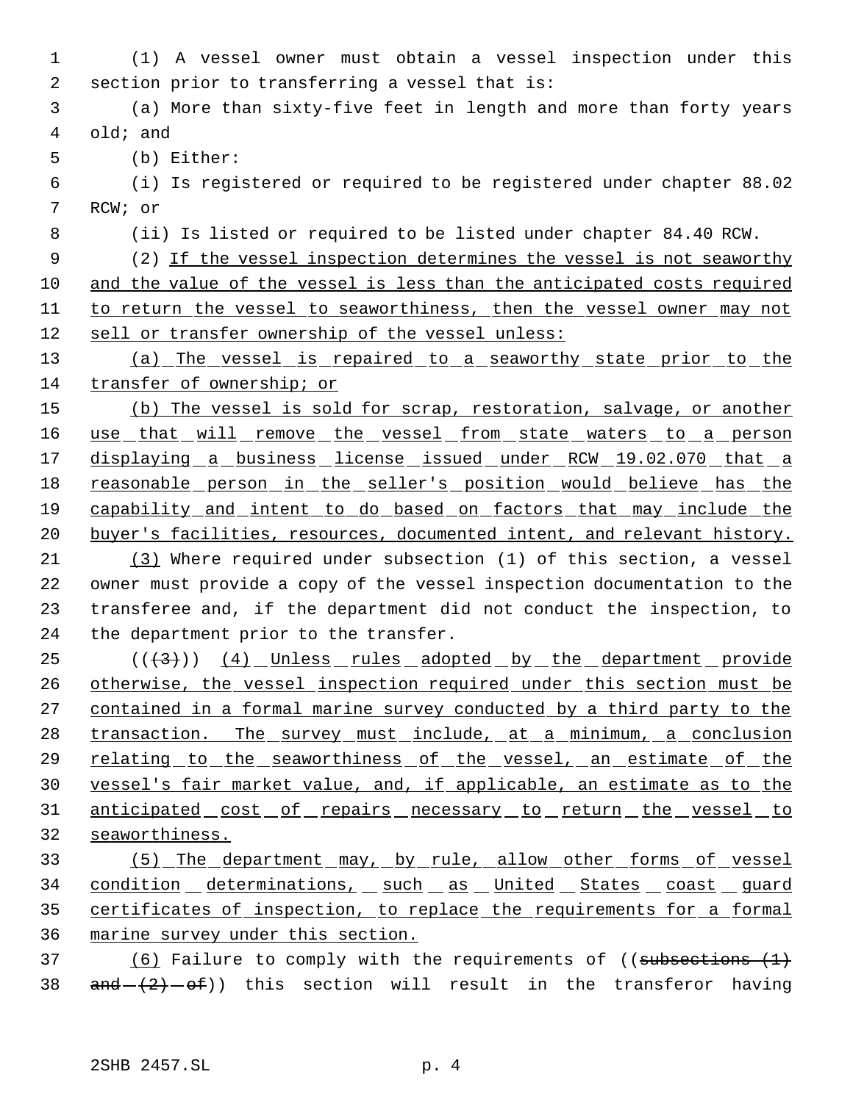(1) A vessel owner must obtain a vessel inspection under this section prior to transferring a vessel that is: (a) More than sixty-five feet in length and more than forty years old; and (b) Either: (i) Is registered or required to be registered under chapter 88.02 RCW; or (ii) Is listed or required to be listed under chapter 84.40 RCW. (2) If the vessel inspection determines the vessel is not seaworthy and the value of the vessel is less than the anticipated costs required to return the vessel to seaworthiness, then the vessel owner may not sell or transfer ownership of the vessel unless: (a) The vessel is repaired to a seaworthy state prior to the transfer of ownership; or (b) The vessel is sold for scrap, restoration, salvage, or another 16 use that will remove the vessel from state waters to a person 17 displaying a business license issued under RCW 19.02.070 that a 18 reasonable person in the seller's position would believe has the capability and intent to do based on factors that may include the 20 buyer's facilities, resources, documented intent, and relevant history. (3) Where required under subsection (1) of this section, a vessel owner must provide a copy of the vessel inspection documentation to the transferee and, if the department did not conduct the inspection, to the department prior to the transfer. 25 (((3)) (4) Unless rules adopted by the department provide 26 otherwise, the vessel inspection required under this section must be contained in a formal marine survey conducted by a third party to the 28 transaction. The survey must include, at a minimum, a conclusion 29 relating to the seaworthiness of the vessel, an estimate of the vessel's fair market value, and, if applicable, an estimate as to the 31 anticipated cost of repairs necessary to return the vessel to seaworthiness. (5) The department may, by rule, allow other forms of vessel 34 condition determinations, such as United States coast guard certificates of inspection, to replace the requirements for a formal marine survey under this section. (6) Failure to comply with the requirements of ((subsections (1)  $and  $-(2)-0f$ ) this section will result in the transferor having$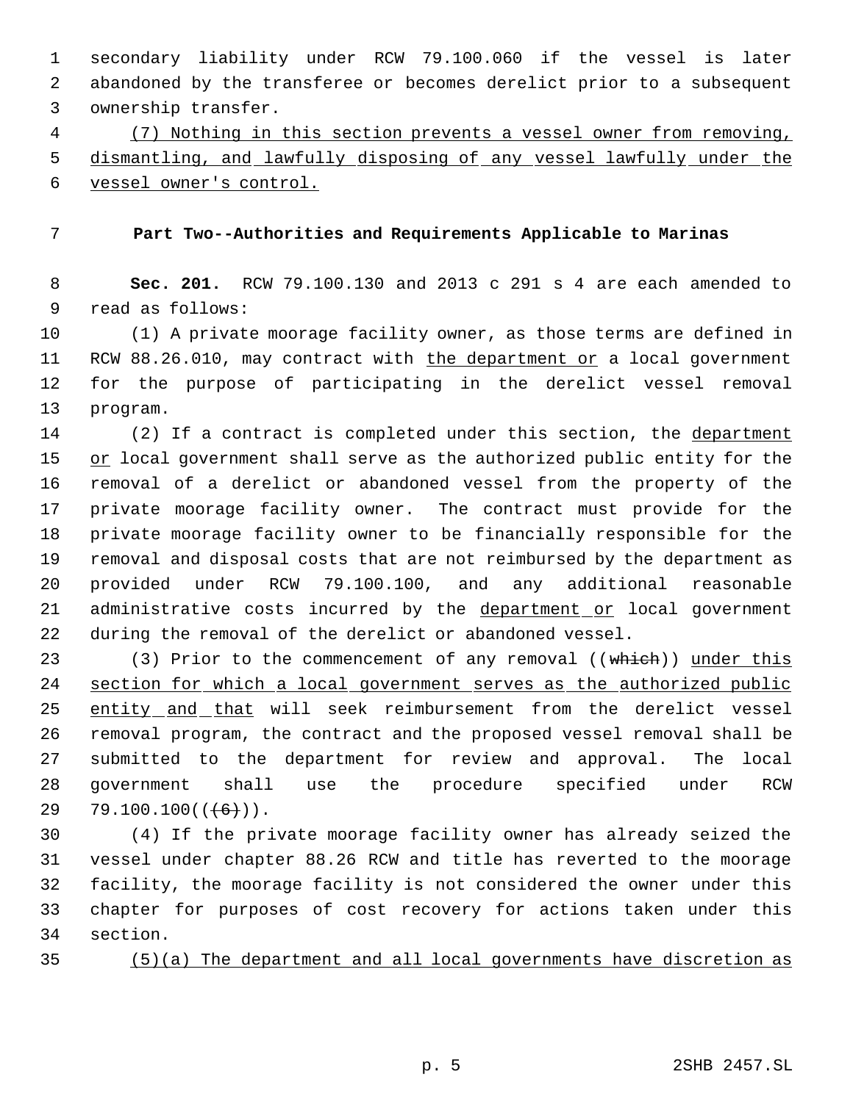secondary liability under RCW 79.100.060 if the vessel is later abandoned by the transferee or becomes derelict prior to a subsequent ownership transfer.

 (7) Nothing in this section prevents a vessel owner from removing, dismantling, and lawfully disposing of any vessel lawfully under the vessel owner's control.

## **Part Two--Authorities and Requirements Applicable to Marinas**

 **Sec. 201.** RCW 79.100.130 and 2013 c 291 s 4 are each amended to read as follows:

 (1) A private moorage facility owner, as those terms are defined in 11 RCW 88.26.010, may contract with the department or a local government for the purpose of participating in the derelict vessel removal program.

14 (2) If a contract is completed under this section, the department 15 or local government shall serve as the authorized public entity for the removal of a derelict or abandoned vessel from the property of the private moorage facility owner. The contract must provide for the private moorage facility owner to be financially responsible for the removal and disposal costs that are not reimbursed by the department as provided under RCW 79.100.100, and any additional reasonable 21 administrative costs incurred by the department or local government during the removal of the derelict or abandoned vessel.

23 (3) Prior to the commencement of any removal ((which)) under this section for which a local government serves as the authorized public 25 entity and that will seek reimbursement from the derelict vessel removal program, the contract and the proposed vessel removal shall be submitted to the department for review and approval. The local government shall use the procedure specified under RCW 29 79.100.100 $((+6))$ .

 (4) If the private moorage facility owner has already seized the vessel under chapter 88.26 RCW and title has reverted to the moorage facility, the moorage facility is not considered the owner under this chapter for purposes of cost recovery for actions taken under this section.

(5)(a) The department and all local governments have discretion as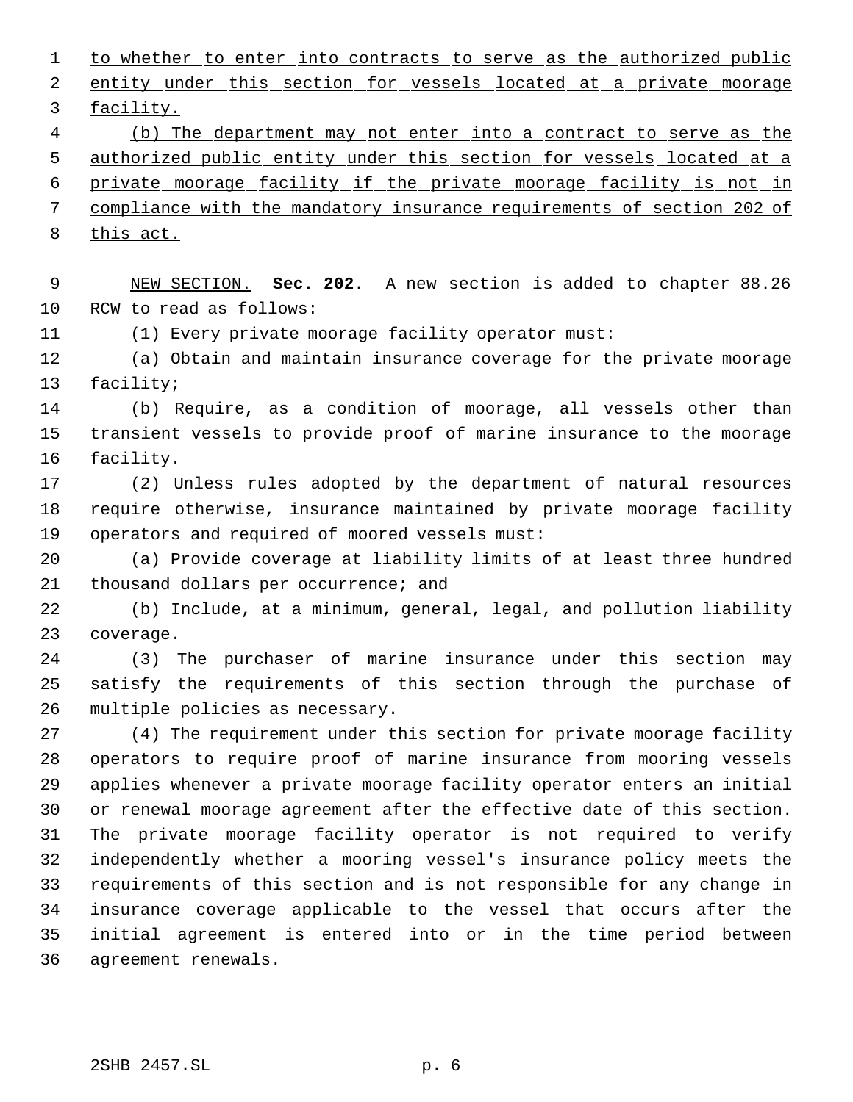1 to whether to enter into contracts to serve as the authorized public 2 entity under this section for vessels located at a private moorage facility. (b) The department may not enter into a contract to serve as the 5 authorized public entity under this section for vessels located at a private moorage facility if the private moorage facility is not in compliance with the mandatory insurance requirements of section 202 of this act. NEW SECTION. **Sec. 202.** A new section is added to chapter 88.26 RCW to read as follows: (1) Every private moorage facility operator must: (a) Obtain and maintain insurance coverage for the private moorage facility; (b) Require, as a condition of moorage, all vessels other than transient vessels to provide proof of marine insurance to the moorage facility. (2) Unless rules adopted by the department of natural resources require otherwise, insurance maintained by private moorage facility operators and required of moored vessels must: (a) Provide coverage at liability limits of at least three hundred thousand dollars per occurrence; and (b) Include, at a minimum, general, legal, and pollution liability coverage. (3) The purchaser of marine insurance under this section may satisfy the requirements of this section through the purchase of multiple policies as necessary. (4) The requirement under this section for private moorage facility operators to require proof of marine insurance from mooring vessels applies whenever a private moorage facility operator enters an initial or renewal moorage agreement after the effective date of this section. The private moorage facility operator is not required to verify independently whether a mooring vessel's insurance policy meets the requirements of this section and is not responsible for any change in insurance coverage applicable to the vessel that occurs after the initial agreement is entered into or in the time period between agreement renewals. 2SHB 2457.SL p. 6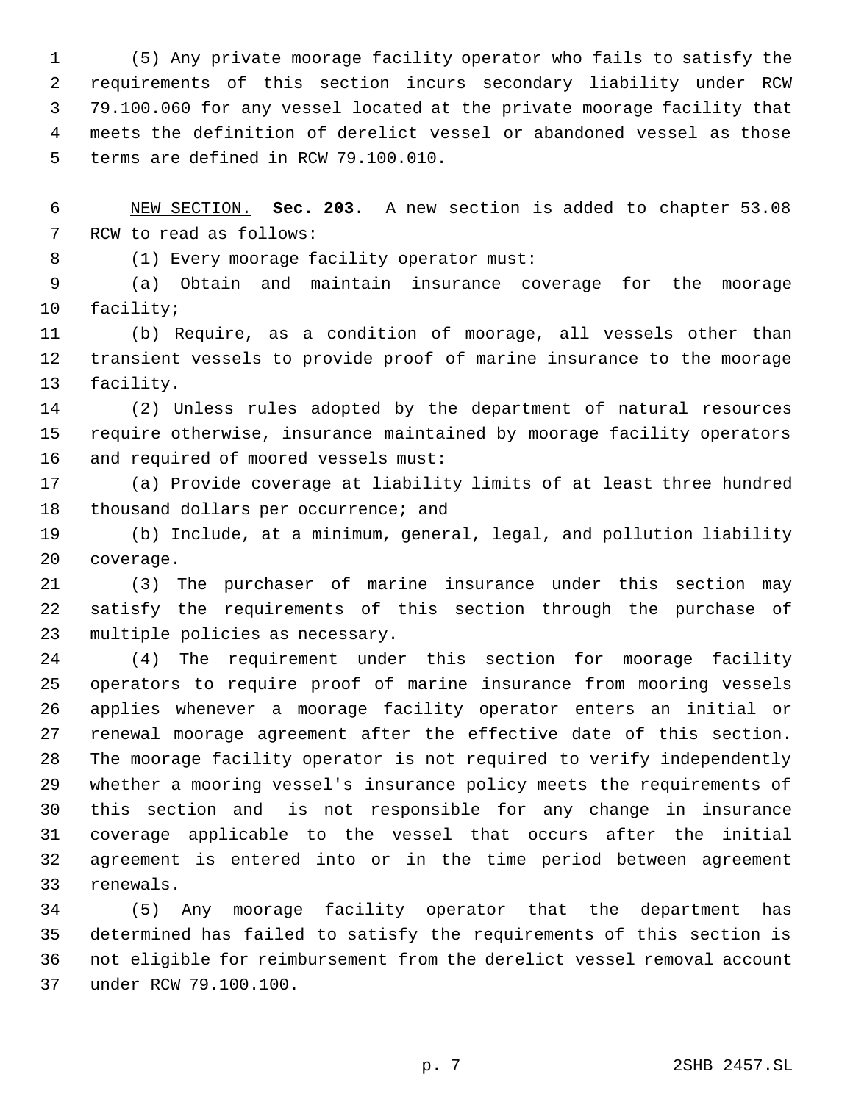(5) Any private moorage facility operator who fails to satisfy the requirements of this section incurs secondary liability under RCW 79.100.060 for any vessel located at the private moorage facility that meets the definition of derelict vessel or abandoned vessel as those terms are defined in RCW 79.100.010.

 NEW SECTION. **Sec. 203.** A new section is added to chapter 53.08 RCW to read as follows:

8 (1) Every moorage facility operator must:

 (a) Obtain and maintain insurance coverage for the moorage facility;

 (b) Require, as a condition of moorage, all vessels other than transient vessels to provide proof of marine insurance to the moorage facility.

 (2) Unless rules adopted by the department of natural resources require otherwise, insurance maintained by moorage facility operators and required of moored vessels must:

 (a) Provide coverage at liability limits of at least three hundred 18 thousand dollars per occurrence; and

 (b) Include, at a minimum, general, legal, and pollution liability coverage.

 (3) The purchaser of marine insurance under this section may satisfy the requirements of this section through the purchase of multiple policies as necessary.

 (4) The requirement under this section for moorage facility operators to require proof of marine insurance from mooring vessels applies whenever a moorage facility operator enters an initial or renewal moorage agreement after the effective date of this section. The moorage facility operator is not required to verify independently whether a mooring vessel's insurance policy meets the requirements of this section and is not responsible for any change in insurance coverage applicable to the vessel that occurs after the initial agreement is entered into or in the time period between agreement renewals.

 (5) Any moorage facility operator that the department has determined has failed to satisfy the requirements of this section is not eligible for reimbursement from the derelict vessel removal account under RCW 79.100.100.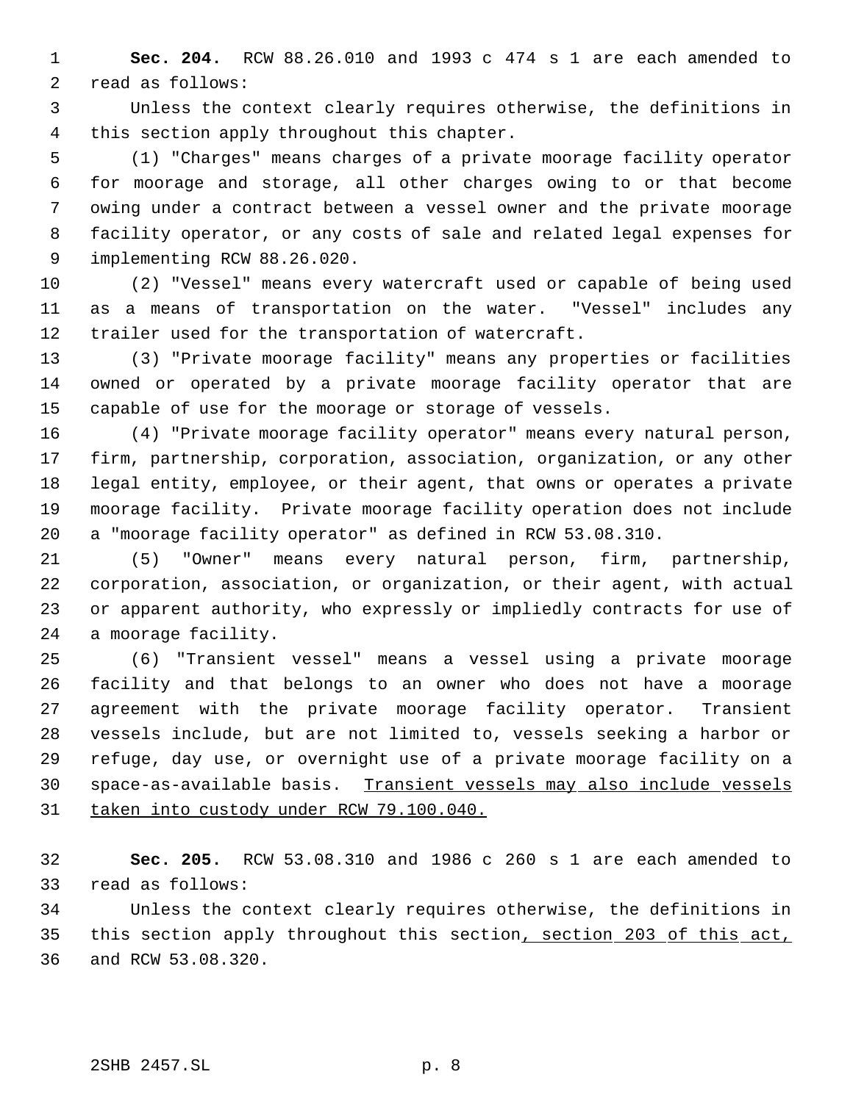**Sec. 204.** RCW 88.26.010 and 1993 c 474 s 1 are each amended to read as follows:

 Unless the context clearly requires otherwise, the definitions in this section apply throughout this chapter.

 (1) "Charges" means charges of a private moorage facility operator for moorage and storage, all other charges owing to or that become owing under a contract between a vessel owner and the private moorage facility operator, or any costs of sale and related legal expenses for implementing RCW 88.26.020.

 (2) "Vessel" means every watercraft used or capable of being used as a means of transportation on the water. "Vessel" includes any trailer used for the transportation of watercraft.

 (3) "Private moorage facility" means any properties or facilities owned or operated by a private moorage facility operator that are capable of use for the moorage or storage of vessels.

 (4) "Private moorage facility operator" means every natural person, firm, partnership, corporation, association, organization, or any other legal entity, employee, or their agent, that owns or operates a private moorage facility. Private moorage facility operation does not include a "moorage facility operator" as defined in RCW 53.08.310.

 (5) "Owner" means every natural person, firm, partnership, corporation, association, or organization, or their agent, with actual or apparent authority, who expressly or impliedly contracts for use of a moorage facility.

 (6) "Transient vessel" means a vessel using a private moorage facility and that belongs to an owner who does not have a moorage agreement with the private moorage facility operator. Transient vessels include, but are not limited to, vessels seeking a harbor or refuge, day use, or overnight use of a private moorage facility on a space-as-available basis. Transient vessels may also include vessels taken into custody under RCW 79.100.040.

 **Sec. 205.** RCW 53.08.310 and 1986 c 260 s 1 are each amended to read as follows:

 Unless the context clearly requires otherwise, the definitions in 35 this section apply throughout this section, section 203 of this act, and RCW 53.08.320.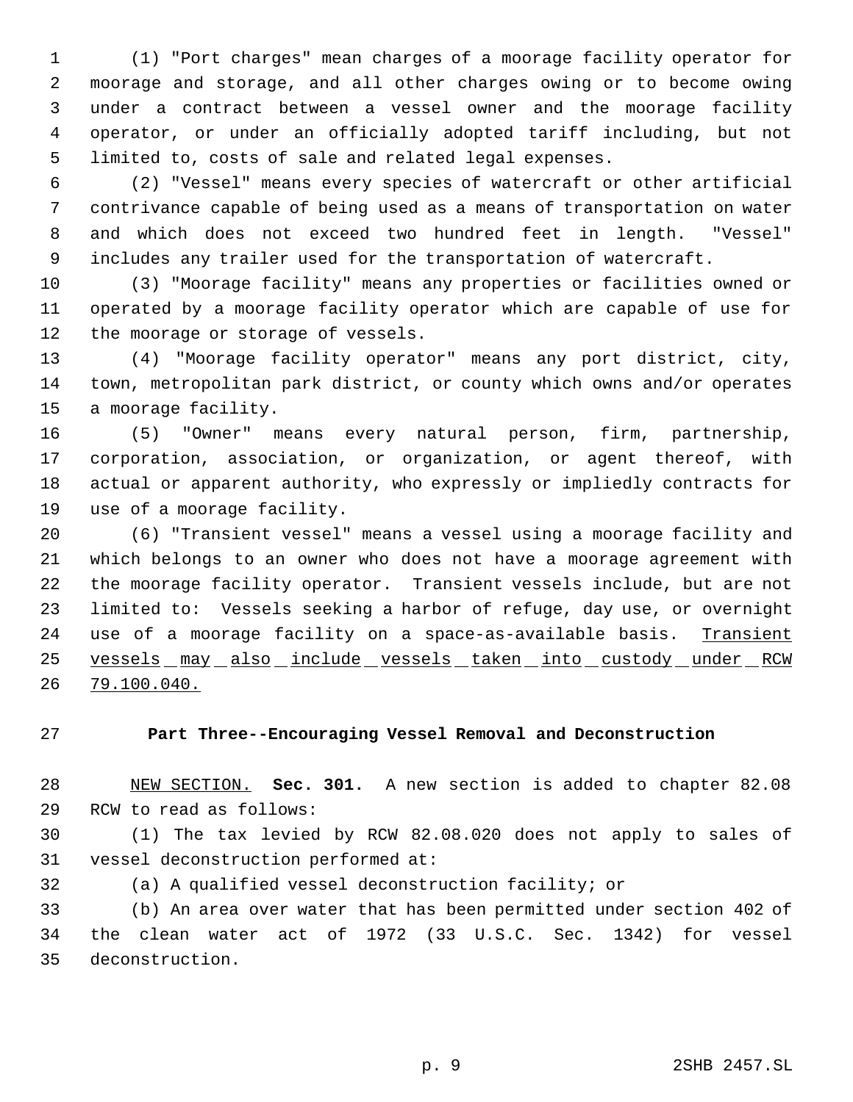(1) "Port charges" mean charges of a moorage facility operator for moorage and storage, and all other charges owing or to become owing under a contract between a vessel owner and the moorage facility operator, or under an officially adopted tariff including, but not limited to, costs of sale and related legal expenses.

 (2) "Vessel" means every species of watercraft or other artificial contrivance capable of being used as a means of transportation on water and which does not exceed two hundred feet in length. "Vessel" includes any trailer used for the transportation of watercraft.

 (3) "Moorage facility" means any properties or facilities owned or operated by a moorage facility operator which are capable of use for the moorage or storage of vessels.

 (4) "Moorage facility operator" means any port district, city, town, metropolitan park district, or county which owns and/or operates a moorage facility.

 (5) "Owner" means every natural person, firm, partnership, corporation, association, or organization, or agent thereof, with actual or apparent authority, who expressly or impliedly contracts for use of a moorage facility.

 (6) "Transient vessel" means a vessel using a moorage facility and which belongs to an owner who does not have a moorage agreement with the moorage facility operator. Transient vessels include, but are not limited to: Vessels seeking a harbor of refuge, day use, or overnight 24 use of a moorage facility on a space-as-available basis. Transient 25 vessels  $max$  also include vessels taken into custody under RCW 79.100.040.

# **Part Three--Encouraging Vessel Removal and Deconstruction**

 NEW SECTION. **Sec. 301.** A new section is added to chapter 82.08 RCW to read as follows:

 (1) The tax levied by RCW 82.08.020 does not apply to sales of vessel deconstruction performed at:

(a) A qualified vessel deconstruction facility; or

 (b) An area over water that has been permitted under section 402 of the clean water act of 1972 (33 U.S.C. Sec. 1342) for vessel deconstruction.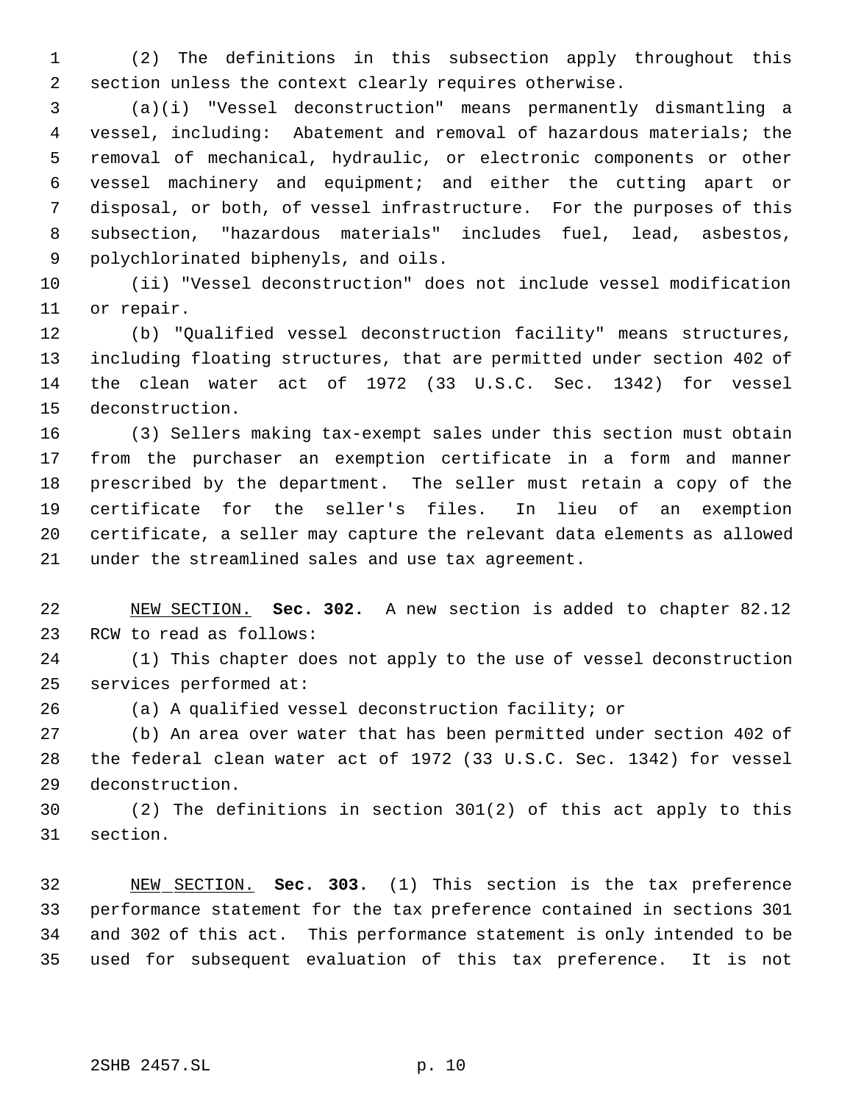(2) The definitions in this subsection apply throughout this section unless the context clearly requires otherwise.

 (a)(i) "Vessel deconstruction" means permanently dismantling a vessel, including: Abatement and removal of hazardous materials; the removal of mechanical, hydraulic, or electronic components or other vessel machinery and equipment; and either the cutting apart or disposal, or both, of vessel infrastructure. For the purposes of this subsection, "hazardous materials" includes fuel, lead, asbestos, polychlorinated biphenyls, and oils.

 (ii) "Vessel deconstruction" does not include vessel modification or repair.

 (b) "Qualified vessel deconstruction facility" means structures, including floating structures, that are permitted under section 402 of the clean water act of 1972 (33 U.S.C. Sec. 1342) for vessel deconstruction.

 (3) Sellers making tax-exempt sales under this section must obtain from the purchaser an exemption certificate in a form and manner prescribed by the department. The seller must retain a copy of the certificate for the seller's files. In lieu of an exemption certificate, a seller may capture the relevant data elements as allowed under the streamlined sales and use tax agreement.

 NEW SECTION. **Sec. 302.** A new section is added to chapter 82.12 RCW to read as follows:

 (1) This chapter does not apply to the use of vessel deconstruction services performed at:

(a) A qualified vessel deconstruction facility; or

 (b) An area over water that has been permitted under section 402 of the federal clean water act of 1972 (33 U.S.C. Sec. 1342) for vessel deconstruction.

 (2) The definitions in section 301(2) of this act apply to this section.

 NEW SECTION. **Sec. 303.** (1) This section is the tax preference performance statement for the tax preference contained in sections 301 and 302 of this act. This performance statement is only intended to be used for subsequent evaluation of this tax preference. It is not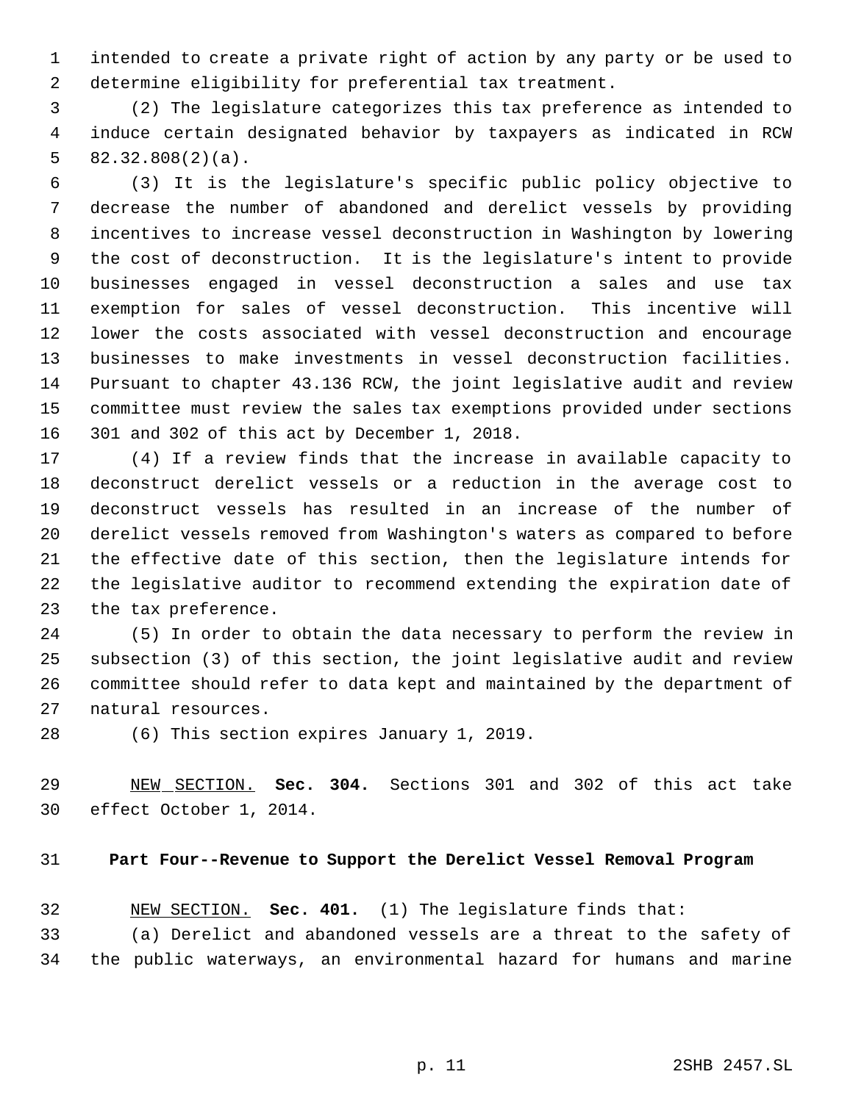intended to create a private right of action by any party or be used to determine eligibility for preferential tax treatment.

 (2) The legislature categorizes this tax preference as intended to induce certain designated behavior by taxpayers as indicated in RCW 82.32.808(2)(a).

 (3) It is the legislature's specific public policy objective to decrease the number of abandoned and derelict vessels by providing incentives to increase vessel deconstruction in Washington by lowering the cost of deconstruction. It is the legislature's intent to provide businesses engaged in vessel deconstruction a sales and use tax exemption for sales of vessel deconstruction. This incentive will lower the costs associated with vessel deconstruction and encourage businesses to make investments in vessel deconstruction facilities. Pursuant to chapter 43.136 RCW, the joint legislative audit and review committee must review the sales tax exemptions provided under sections 301 and 302 of this act by December 1, 2018.

 (4) If a review finds that the increase in available capacity to deconstruct derelict vessels or a reduction in the average cost to deconstruct vessels has resulted in an increase of the number of derelict vessels removed from Washington's waters as compared to before the effective date of this section, then the legislature intends for the legislative auditor to recommend extending the expiration date of the tax preference.

 (5) In order to obtain the data necessary to perform the review in subsection (3) of this section, the joint legislative audit and review committee should refer to data kept and maintained by the department of natural resources.

(6) This section expires January 1, 2019.

 NEW SECTION. **Sec. 304.** Sections 301 and 302 of this act take effect October 1, 2014.

### **Part Four--Revenue to Support the Derelict Vessel Removal Program**

NEW SECTION. **Sec. 401.** (1) The legislature finds that:

 (a) Derelict and abandoned vessels are a threat to the safety of the public waterways, an environmental hazard for humans and marine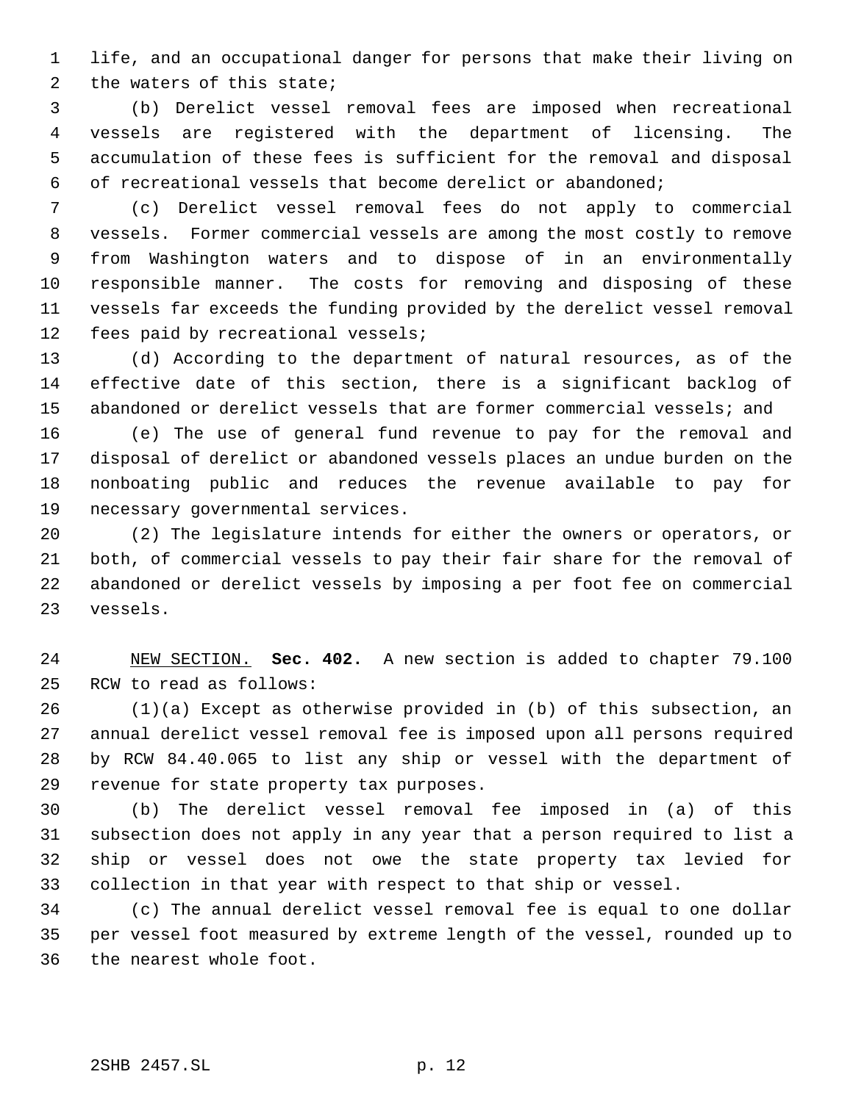life, and an occupational danger for persons that make their living on the waters of this state;

 (b) Derelict vessel removal fees are imposed when recreational vessels are registered with the department of licensing. The accumulation of these fees is sufficient for the removal and disposal of recreational vessels that become derelict or abandoned;

 (c) Derelict vessel removal fees do not apply to commercial vessels. Former commercial vessels are among the most costly to remove from Washington waters and to dispose of in an environmentally responsible manner. The costs for removing and disposing of these vessels far exceeds the funding provided by the derelict vessel removal fees paid by recreational vessels;

 (d) According to the department of natural resources, as of the effective date of this section, there is a significant backlog of abandoned or derelict vessels that are former commercial vessels; and

 (e) The use of general fund revenue to pay for the removal and disposal of derelict or abandoned vessels places an undue burden on the nonboating public and reduces the revenue available to pay for necessary governmental services.

 (2) The legislature intends for either the owners or operators, or both, of commercial vessels to pay their fair share for the removal of abandoned or derelict vessels by imposing a per foot fee on commercial vessels.

 NEW SECTION. **Sec. 402.** A new section is added to chapter 79.100 RCW to read as follows:

 (1)(a) Except as otherwise provided in (b) of this subsection, an annual derelict vessel removal fee is imposed upon all persons required by RCW 84.40.065 to list any ship or vessel with the department of revenue for state property tax purposes.

 (b) The derelict vessel removal fee imposed in (a) of this subsection does not apply in any year that a person required to list a ship or vessel does not owe the state property tax levied for collection in that year with respect to that ship or vessel.

 (c) The annual derelict vessel removal fee is equal to one dollar per vessel foot measured by extreme length of the vessel, rounded up to the nearest whole foot.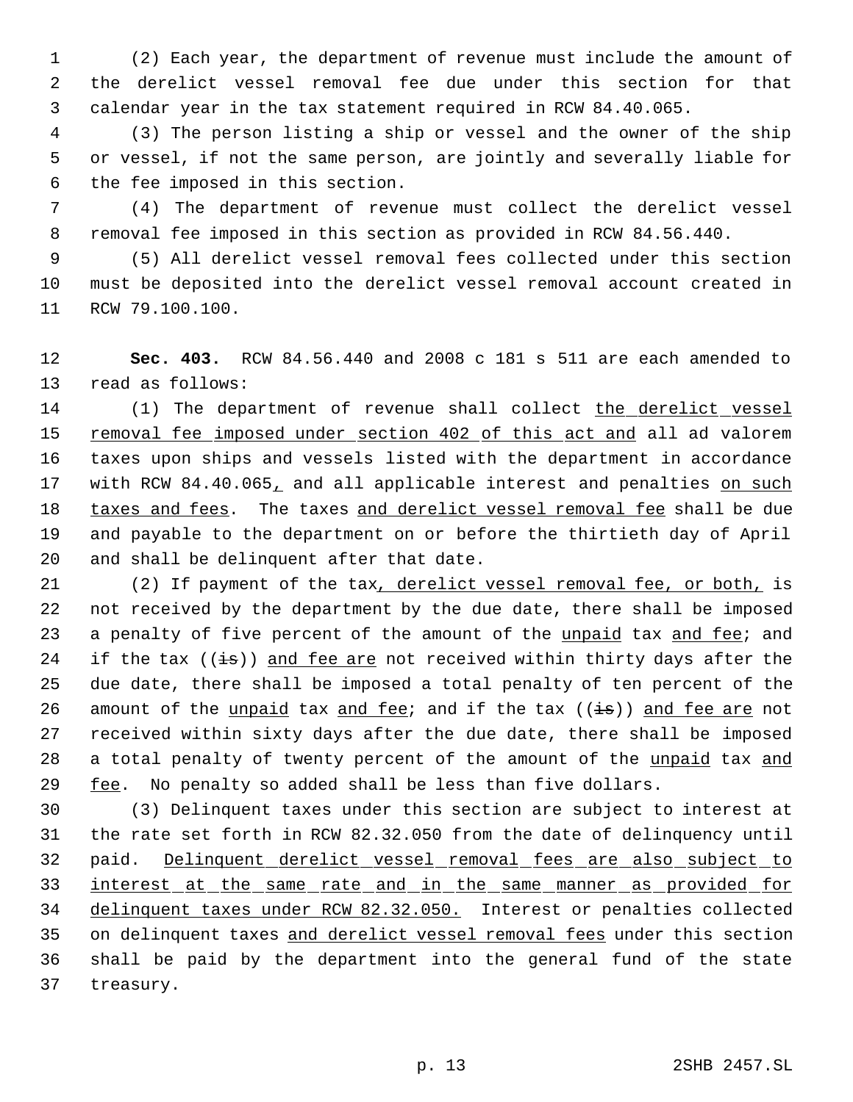(2) Each year, the department of revenue must include the amount of the derelict vessel removal fee due under this section for that calendar year in the tax statement required in RCW 84.40.065.

 (3) The person listing a ship or vessel and the owner of the ship or vessel, if not the same person, are jointly and severally liable for the fee imposed in this section.

 (4) The department of revenue must collect the derelict vessel removal fee imposed in this section as provided in RCW 84.56.440.

 (5) All derelict vessel removal fees collected under this section must be deposited into the derelict vessel removal account created in RCW 79.100.100.

 **Sec. 403.** RCW 84.56.440 and 2008 c 181 s 511 are each amended to read as follows:

14 (1) The department of revenue shall collect the derelict vessel 15 removal fee imposed under section 402 of this act and all ad valorem taxes upon ships and vessels listed with the department in accordance 17 with RCW 84.40.065, and all applicable interest and penalties on such 18 taxes and fees. The taxes and derelict vessel removal fee shall be due and payable to the department on or before the thirtieth day of April and shall be delinquent after that date.

21 (2) If payment of the tax, derelict vessel removal fee, or both, is not received by the department by the due date, there shall be imposed 23 a penalty of five percent of the amount of the unpaid tax and fee; and 24 if the tax  $((\frac{1}{1}s))$  and fee are not received within thirty days after the due date, there shall be imposed a total penalty of ten percent of the 26 amount of the unpaid tax and fee; and if the tax  $((i\text{--}s))$  and fee are not received within sixty days after the due date, there shall be imposed a total penalty of twenty percent of the amount of the unpaid tax and 29  $f$ ee. No penalty so added shall be less than five dollars.

 (3) Delinquent taxes under this section are subject to interest at the rate set forth in RCW 82.32.050 from the date of delinquency until paid. Delinquent derelict vessel removal fees are also subject to interest at the same rate and in the same manner as provided for delinquent taxes under RCW 82.32.050. Interest or penalties collected on delinquent taxes and derelict vessel removal fees under this section shall be paid by the department into the general fund of the state treasury.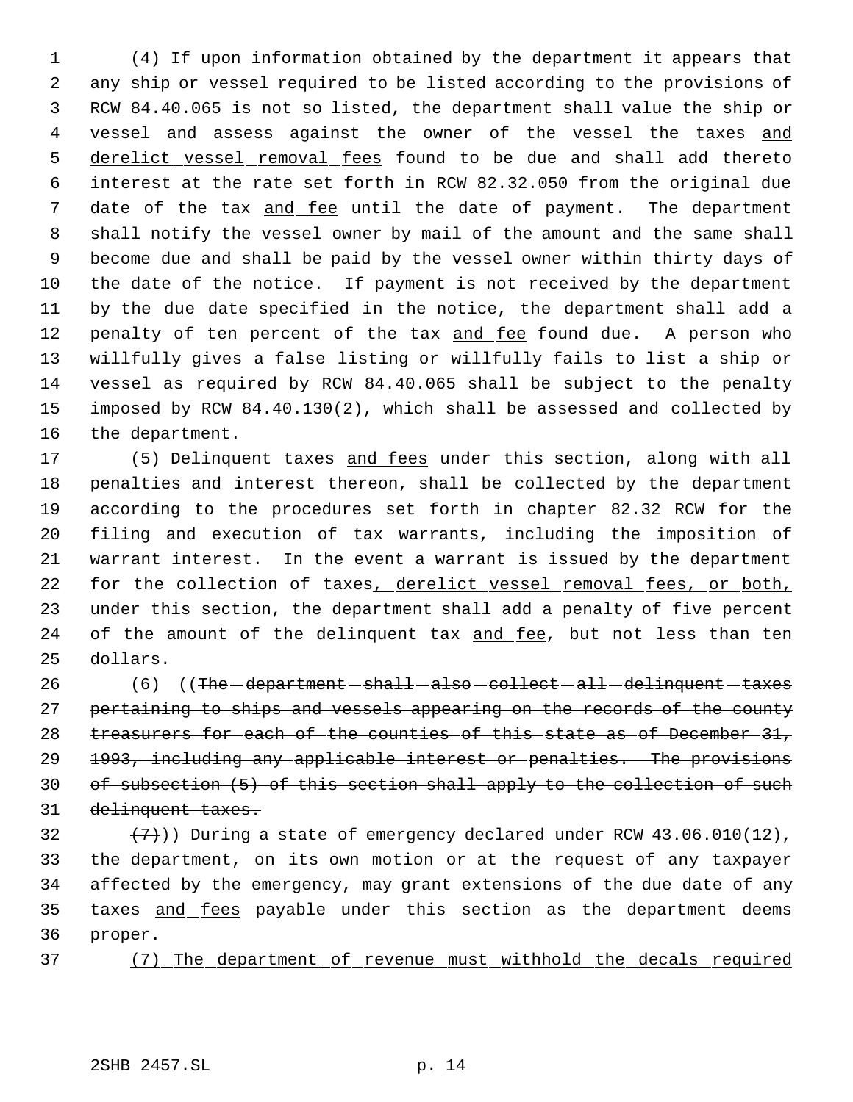(4) If upon information obtained by the department it appears that any ship or vessel required to be listed according to the provisions of RCW 84.40.065 is not so listed, the department shall value the ship or 4 vessel and assess against the owner of the vessel the taxes and 5 derelict vessel removal fees found to be due and shall add thereto interest at the rate set forth in RCW 82.32.050 from the original due 7 date of the tax and fee until the date of payment. The department shall notify the vessel owner by mail of the amount and the same shall become due and shall be paid by the vessel owner within thirty days of the date of the notice. If payment is not received by the department by the due date specified in the notice, the department shall add a 12 penalty of ten percent of the tax and fee found due. A person who willfully gives a false listing or willfully fails to list a ship or vessel as required by RCW 84.40.065 shall be subject to the penalty imposed by RCW 84.40.130(2), which shall be assessed and collected by the department.

17 (5) Delinquent taxes and fees under this section, along with all penalties and interest thereon, shall be collected by the department according to the procedures set forth in chapter 82.32 RCW for the filing and execution of tax warrants, including the imposition of warrant interest. In the event a warrant is issued by the department 22 for the collection of taxes, derelict vessel removal fees, or both, under this section, the department shall add a penalty of five percent 24 of the amount of the delinquent tax and fee, but not less than ten dollars.

26 (6) ((The -department - shall - also - collect - all - delinquent - taxes 27 pertaining to ships and vessels appearing on the records of the county 28 treasurers for each of the counties of this state as of December 31, 1993, including any applicable interest or penalties. The provisions 30 of subsection (5) of this section shall apply to the collection of such delinquent taxes.

32  $(7)$ )) During a state of emergency declared under RCW 43.06.010(12), the department, on its own motion or at the request of any taxpayer affected by the emergency, may grant extensions of the due date of any 35 taxes and fees payable under this section as the department deems proper.

(7) The department of revenue must withhold the decals required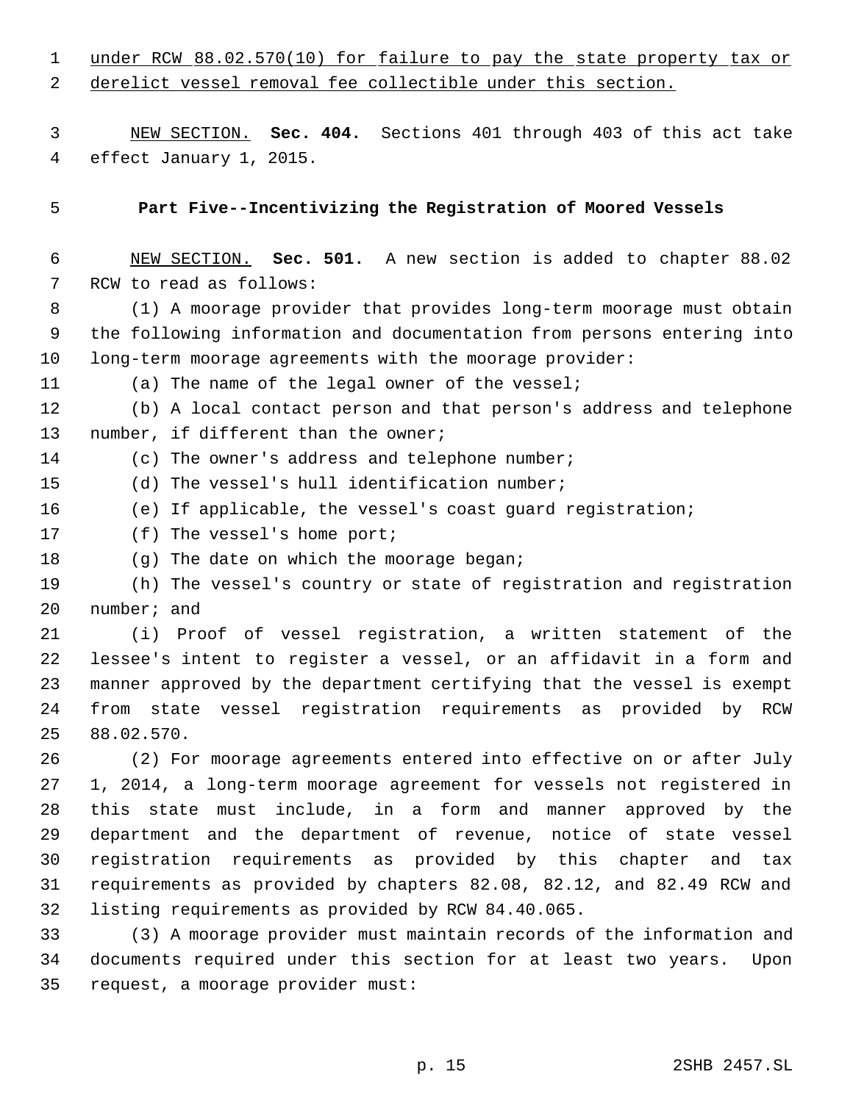| $\mathbf 1$    | under RCW 88.02.570(10) for failure to pay the state property tax or   |
|----------------|------------------------------------------------------------------------|
| 2              | derelict vessel removal fee collectible under this section.            |
|                |                                                                        |
| 3              | NEW SECTION. Sec. 404. Sections 401 through 403 of this act take       |
| $\overline{4}$ | effect January 1, 2015.                                                |
|                |                                                                        |
| 5              | Part Five--Incentivizing the Registration of Moored Vessels            |
|                |                                                                        |
| 6              | NEW SECTION. Sec. 501. A new section is added to chapter 88.02         |
| 7              | RCW to read as follows:                                                |
| 8              | (1) A moorage provider that provides long-term moorage must obtain     |
| 9              | the following information and documentation from persons entering into |
| 10             | long-term moorage agreements with the moorage provider:                |
| 11             | (a) The name of the legal owner of the vessel;                         |
| 12             | (b) A local contact person and that person's address and telephone     |
| 13             | number, if different than the owner;                                   |
| 14             | (c) The owner's address and telephone number;                          |
| 15             | (d) The vessel's hull identification number;                           |
| 16             | (e) If applicable, the vessel's coast guard registration;              |
| 17             | $(f)$ The vessel's home port;                                          |
| 18             | (g) The date on which the moorage began;                               |
| 19             | (h) The vessel's country or state of registration and registration     |
| 20             | number; and                                                            |
| 21             | (i) Proof of vessel registration, a written statement of the           |
| 22             | lessee's intent to register a vessel, or an affidavit in a form and    |
| 23             | manner approved by the department certifying that the vessel is exempt |
| 24             | from state vessel registration requirements as provided by RCW         |
| 25             | 88.02.570.                                                             |
| 26             | (2) For moorage agreements entered into effective on or after July     |
| 27             | 1, 2014, a long-term moorage agreement for vessels not registered in   |
| 28             | this state must include, in a form and manner approved by the          |
| 29             | department and the department of revenue, notice of state vessel       |
| 30             | registration requirements as provided by this chapter and tax          |
| 31             | requirements as provided by chapters 82.08, 82.12, and 82.49 RCW and   |
| 32             | listing requirements as provided by RCW 84.40.065.                     |
| 33             | (3) A moorage provider must maintain records of the information and    |
| 34             | documents required under this section for at least two years.<br>Upon  |
| 35             | request, a moorage provider must:                                      |
|                |                                                                        |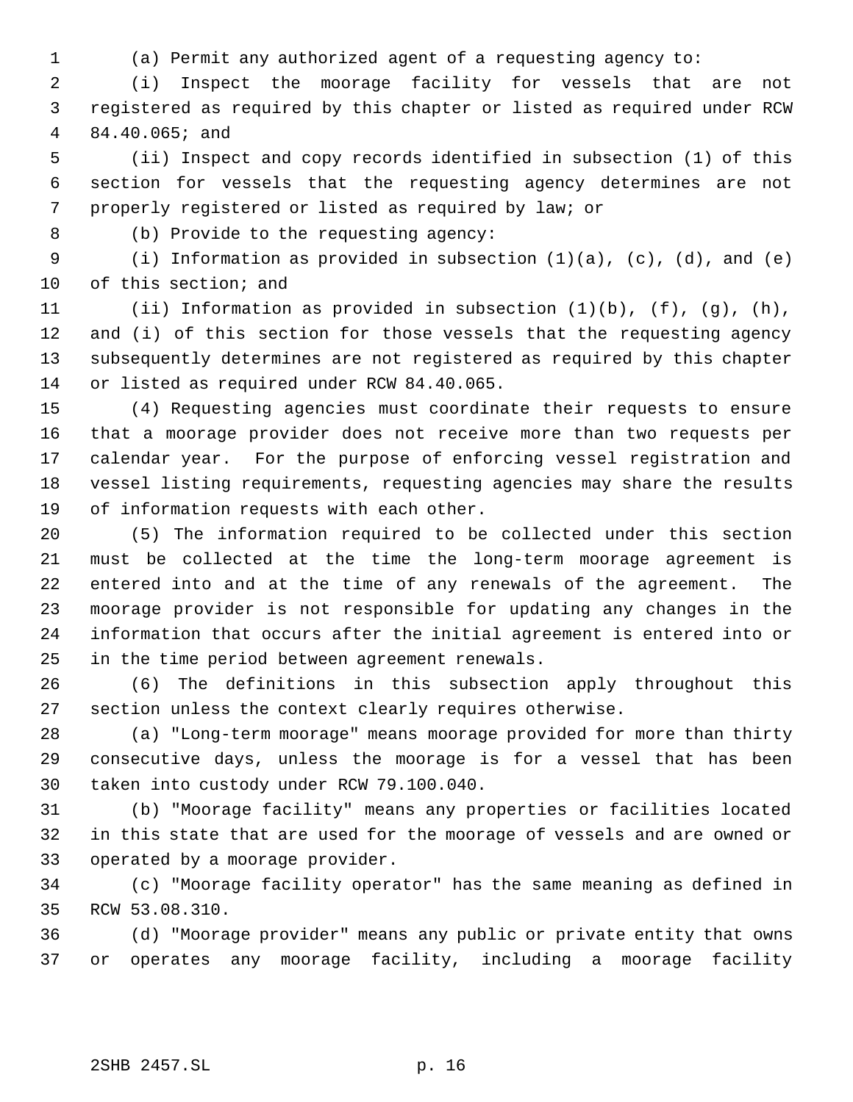(a) Permit any authorized agent of a requesting agency to:

 (i) Inspect the moorage facility for vessels that are not registered as required by this chapter or listed as required under RCW 84.40.065; and

 (ii) Inspect and copy records identified in subsection (1) of this section for vessels that the requesting agency determines are not properly registered or listed as required by law; or

(b) Provide to the requesting agency:

 (i) Information as provided in subsection (1)(a), (c), (d), and (e) of this section; and

 (ii) Information as provided in subsection (1)(b), (f), (g), (h), and (i) of this section for those vessels that the requesting agency subsequently determines are not registered as required by this chapter or listed as required under RCW 84.40.065.

 (4) Requesting agencies must coordinate their requests to ensure that a moorage provider does not receive more than two requests per calendar year. For the purpose of enforcing vessel registration and vessel listing requirements, requesting agencies may share the results of information requests with each other.

 (5) The information required to be collected under this section must be collected at the time the long-term moorage agreement is entered into and at the time of any renewals of the agreement. The moorage provider is not responsible for updating any changes in the information that occurs after the initial agreement is entered into or in the time period between agreement renewals.

 (6) The definitions in this subsection apply throughout this section unless the context clearly requires otherwise.

 (a) "Long-term moorage" means moorage provided for more than thirty consecutive days, unless the moorage is for a vessel that has been taken into custody under RCW 79.100.040.

 (b) "Moorage facility" means any properties or facilities located in this state that are used for the moorage of vessels and are owned or operated by a moorage provider.

 (c) "Moorage facility operator" has the same meaning as defined in RCW 53.08.310.

 (d) "Moorage provider" means any public or private entity that owns or operates any moorage facility, including a moorage facility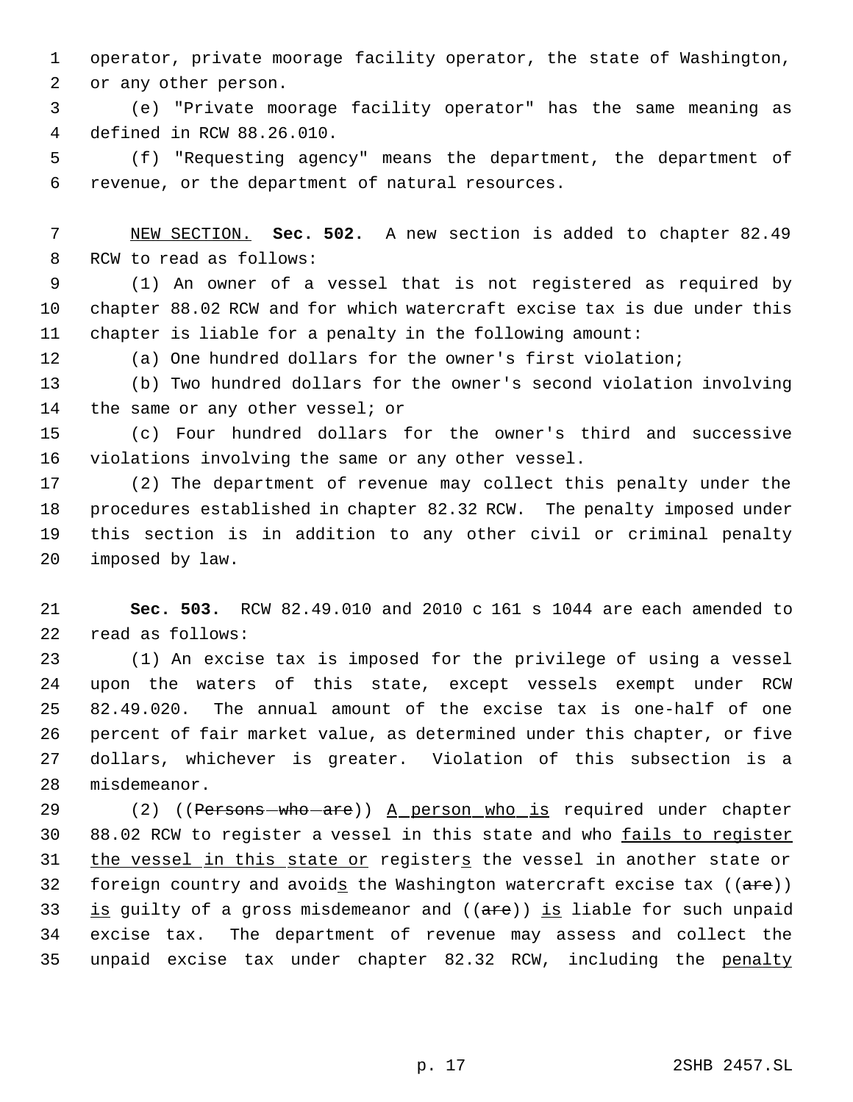operator, private moorage facility operator, the state of Washington, or any other person.

 (e) "Private moorage facility operator" has the same meaning as defined in RCW 88.26.010.

 (f) "Requesting agency" means the department, the department of revenue, or the department of natural resources.

 NEW SECTION. **Sec. 502.** A new section is added to chapter 82.49 RCW to read as follows:

 (1) An owner of a vessel that is not registered as required by chapter 88.02 RCW and for which watercraft excise tax is due under this chapter is liable for a penalty in the following amount:

(a) One hundred dollars for the owner's first violation;

 (b) Two hundred dollars for the owner's second violation involving the same or any other vessel; or

 (c) Four hundred dollars for the owner's third and successive violations involving the same or any other vessel.

 (2) The department of revenue may collect this penalty under the procedures established in chapter 82.32 RCW. The penalty imposed under this section is in addition to any other civil or criminal penalty imposed by law.

 **Sec. 503.** RCW 82.49.010 and 2010 c 161 s 1044 are each amended to read as follows:

 (1) An excise tax is imposed for the privilege of using a vessel upon the waters of this state, except vessels exempt under RCW 82.49.020. The annual amount of the excise tax is one-half of one percent of fair market value, as determined under this chapter, or five dollars, whichever is greater. Violation of this subsection is a misdemeanor.

29 (2) ((Persons - who - are)) A person who is required under chapter 88.02 RCW to register a vessel in this state and who fails to register 31 the vessel in this state or registers the vessel in another state or 32 foreign country and avoids the Washington watercraft excise tax  $((a + e))$ 33 is guilty of a gross misdemeanor and  $((are))$  is liable for such unpaid excise tax. The department of revenue may assess and collect the unpaid excise tax under chapter 82.32 RCW, including the penalty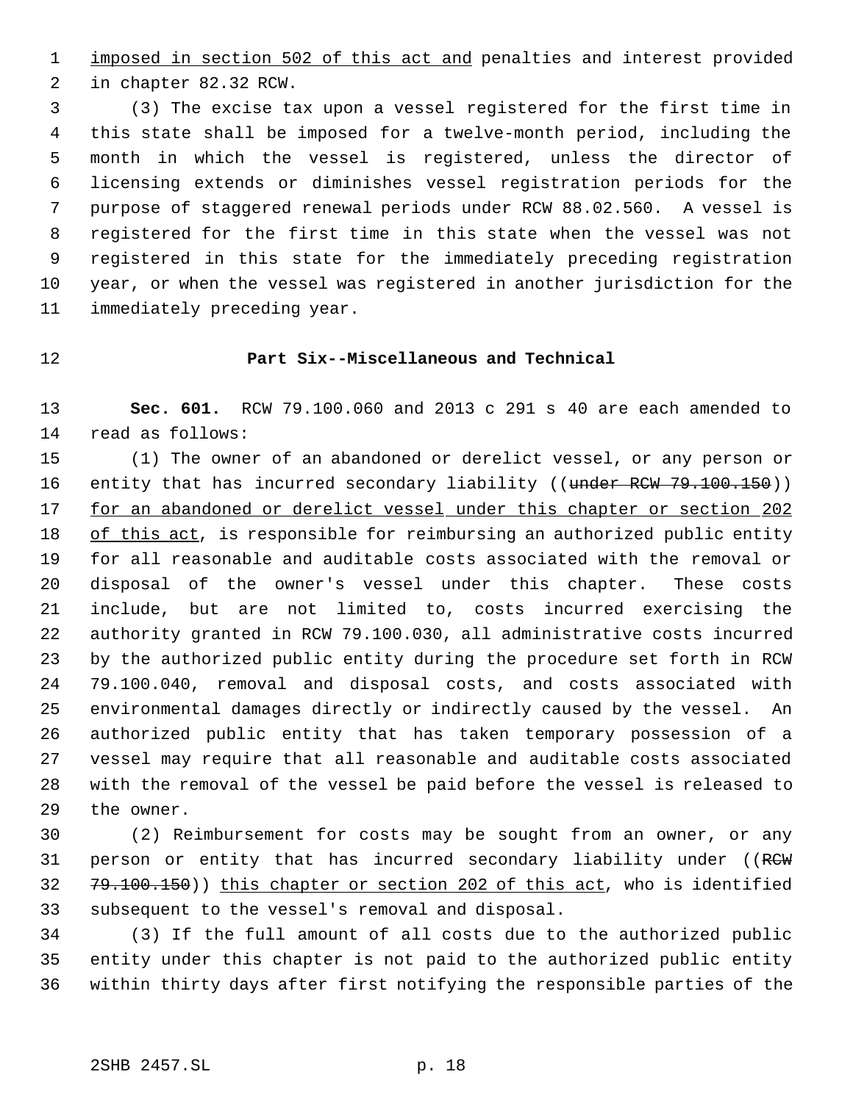1 imposed in section 502 of this act and penalties and interest provided in chapter 82.32 RCW.

 (3) The excise tax upon a vessel registered for the first time in this state shall be imposed for a twelve-month period, including the month in which the vessel is registered, unless the director of licensing extends or diminishes vessel registration periods for the purpose of staggered renewal periods under RCW 88.02.560. A vessel is registered for the first time in this state when the vessel was not registered in this state for the immediately preceding registration year, or when the vessel was registered in another jurisdiction for the immediately preceding year.

# **Part Six--Miscellaneous and Technical**

 **Sec. 601.** RCW 79.100.060 and 2013 c 291 s 40 are each amended to read as follows:

 (1) The owner of an abandoned or derelict vessel, or any person or 16 entity that has incurred secondary liability ((under RCW 79.100.150)) 17 for an abandoned or derelict vessel under this chapter or section 202 18 of this act, is responsible for reimbursing an authorized public entity for all reasonable and auditable costs associated with the removal or disposal of the owner's vessel under this chapter. These costs include, but are not limited to, costs incurred exercising the authority granted in RCW 79.100.030, all administrative costs incurred by the authorized public entity during the procedure set forth in RCW 79.100.040, removal and disposal costs, and costs associated with environmental damages directly or indirectly caused by the vessel. An authorized public entity that has taken temporary possession of a vessel may require that all reasonable and auditable costs associated with the removal of the vessel be paid before the vessel is released to the owner.

 (2) Reimbursement for costs may be sought from an owner, or any 31 person or entity that has incurred secondary liability under ((RCW) 79.100.150)) this chapter or section 202 of this act, who is identified subsequent to the vessel's removal and disposal.

 (3) If the full amount of all costs due to the authorized public entity under this chapter is not paid to the authorized public entity within thirty days after first notifying the responsible parties of the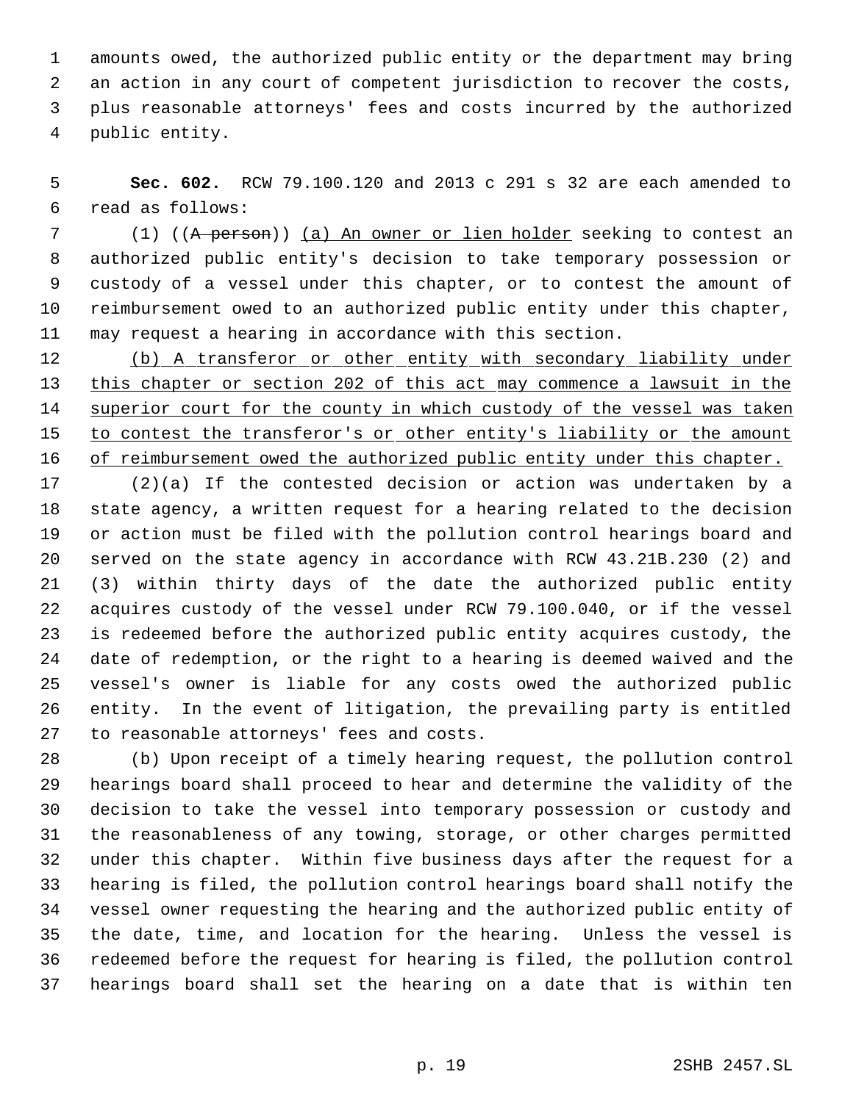amounts owed, the authorized public entity or the department may bring an action in any court of competent jurisdiction to recover the costs, plus reasonable attorneys' fees and costs incurred by the authorized public entity.

 **Sec. 602.** RCW 79.100.120 and 2013 c 291 s 32 are each amended to read as follows:

 (1) ((A person)) (a) An owner or lien holder seeking to contest an authorized public entity's decision to take temporary possession or custody of a vessel under this chapter, or to contest the amount of reimbursement owed to an authorized public entity under this chapter, may request a hearing in accordance with this section.

12 (b) A transferor or other entity with secondary liability under this chapter or section 202 of this act may commence a lawsuit in the 14 superior court for the county in which custody of the vessel was taken 15 to contest the transferor's or other entity's liability or the amount 16 of reimbursement owed the authorized public entity under this chapter.

 (2)(a) If the contested decision or action was undertaken by a state agency, a written request for a hearing related to the decision or action must be filed with the pollution control hearings board and served on the state agency in accordance with RCW 43.21B.230 (2) and (3) within thirty days of the date the authorized public entity acquires custody of the vessel under RCW 79.100.040, or if the vessel is redeemed before the authorized public entity acquires custody, the date of redemption, or the right to a hearing is deemed waived and the vessel's owner is liable for any costs owed the authorized public entity. In the event of litigation, the prevailing party is entitled to reasonable attorneys' fees and costs.

 (b) Upon receipt of a timely hearing request, the pollution control hearings board shall proceed to hear and determine the validity of the decision to take the vessel into temporary possession or custody and the reasonableness of any towing, storage, or other charges permitted under this chapter. Within five business days after the request for a hearing is filed, the pollution control hearings board shall notify the vessel owner requesting the hearing and the authorized public entity of the date, time, and location for the hearing. Unless the vessel is redeemed before the request for hearing is filed, the pollution control hearings board shall set the hearing on a date that is within ten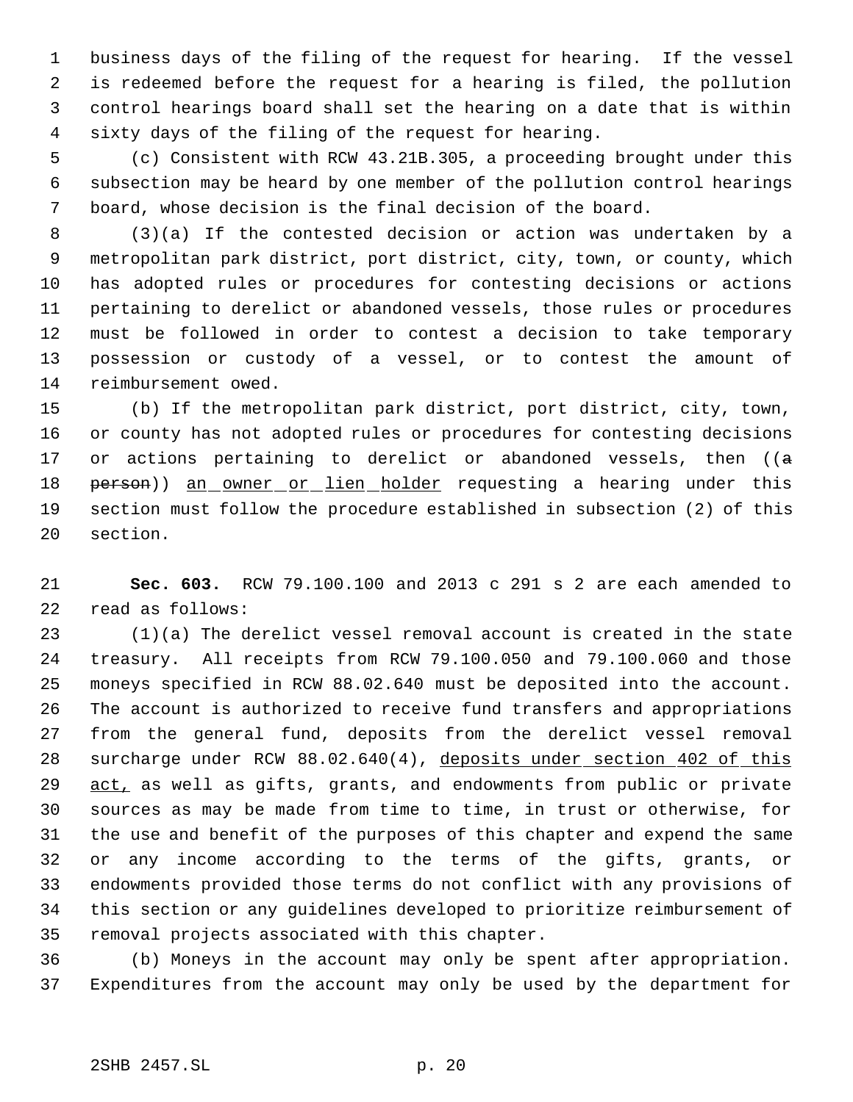business days of the filing of the request for hearing. If the vessel is redeemed before the request for a hearing is filed, the pollution control hearings board shall set the hearing on a date that is within sixty days of the filing of the request for hearing.

 (c) Consistent with RCW 43.21B.305, a proceeding brought under this subsection may be heard by one member of the pollution control hearings board, whose decision is the final decision of the board.

 (3)(a) If the contested decision or action was undertaken by a metropolitan park district, port district, city, town, or county, which has adopted rules or procedures for contesting decisions or actions pertaining to derelict or abandoned vessels, those rules or procedures must be followed in order to contest a decision to take temporary possession or custody of a vessel, or to contest the amount of reimbursement owed.

 (b) If the metropolitan park district, port district, city, town, or county has not adopted rules or procedures for contesting decisions 17 or actions pertaining to derelict or abandoned vessels, then  $((a - b)\cdot b)$ 18 person)) an owner or lien holder requesting a hearing under this section must follow the procedure established in subsection (2) of this section.

 **Sec. 603.** RCW 79.100.100 and 2013 c 291 s 2 are each amended to read as follows:

 (1)(a) The derelict vessel removal account is created in the state treasury. All receipts from RCW 79.100.050 and 79.100.060 and those moneys specified in RCW 88.02.640 must be deposited into the account. The account is authorized to receive fund transfers and appropriations from the general fund, deposits from the derelict vessel removal 28 surcharge under RCW 88.02.640(4), deposits under section 402 of this 29 act, as well as gifts, grants, and endowments from public or private sources as may be made from time to time, in trust or otherwise, for the use and benefit of the purposes of this chapter and expend the same or any income according to the terms of the gifts, grants, or endowments provided those terms do not conflict with any provisions of this section or any guidelines developed to prioritize reimbursement of removal projects associated with this chapter.

 (b) Moneys in the account may only be spent after appropriation. Expenditures from the account may only be used by the department for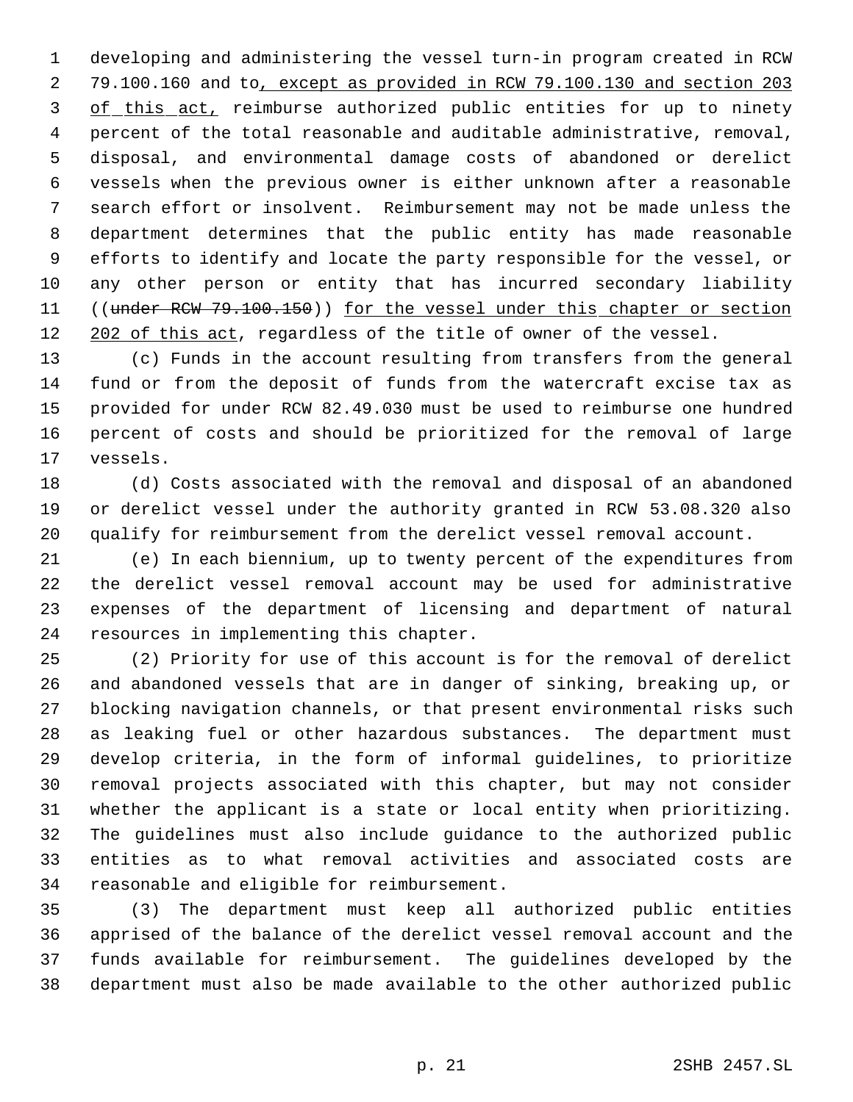developing and administering the vessel turn-in program created in RCW 79.100.160 and to, except as provided in RCW 79.100.130 and section 203 3 of this act, reimburse authorized public entities for up to ninety percent of the total reasonable and auditable administrative, removal, disposal, and environmental damage costs of abandoned or derelict vessels when the previous owner is either unknown after a reasonable search effort or insolvent. Reimbursement may not be made unless the department determines that the public entity has made reasonable efforts to identify and locate the party responsible for the vessel, or any other person or entity that has incurred secondary liability 11 ((under RCW 79.100.150)) for the vessel under this chapter or section 202 of this act, regardless of the title of owner of the vessel.

 (c) Funds in the account resulting from transfers from the general fund or from the deposit of funds from the watercraft excise tax as provided for under RCW 82.49.030 must be used to reimburse one hundred percent of costs and should be prioritized for the removal of large vessels.

 (d) Costs associated with the removal and disposal of an abandoned or derelict vessel under the authority granted in RCW 53.08.320 also qualify for reimbursement from the derelict vessel removal account.

 (e) In each biennium, up to twenty percent of the expenditures from the derelict vessel removal account may be used for administrative expenses of the department of licensing and department of natural resources in implementing this chapter.

 (2) Priority for use of this account is for the removal of derelict and abandoned vessels that are in danger of sinking, breaking up, or blocking navigation channels, or that present environmental risks such as leaking fuel or other hazardous substances. The department must develop criteria, in the form of informal guidelines, to prioritize removal projects associated with this chapter, but may not consider whether the applicant is a state or local entity when prioritizing. The guidelines must also include guidance to the authorized public entities as to what removal activities and associated costs are reasonable and eligible for reimbursement.

 (3) The department must keep all authorized public entities apprised of the balance of the derelict vessel removal account and the funds available for reimbursement. The guidelines developed by the department must also be made available to the other authorized public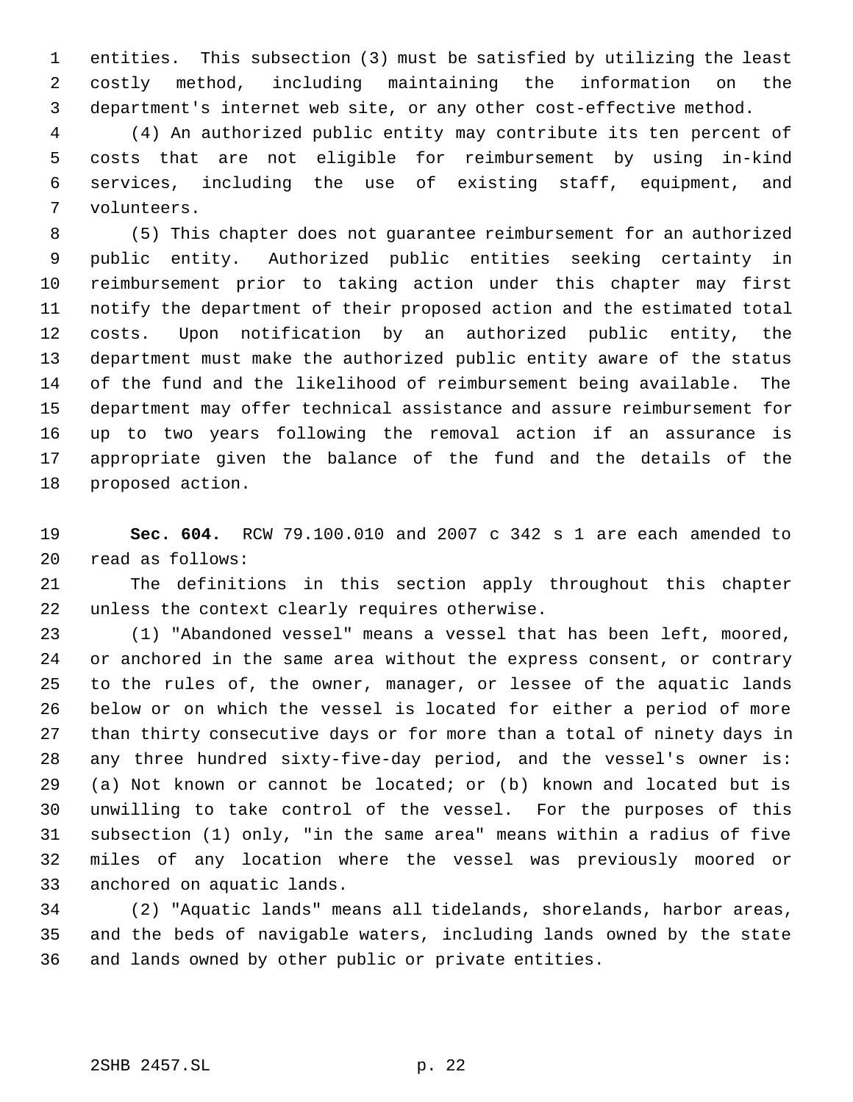entities. This subsection (3) must be satisfied by utilizing the least costly method, including maintaining the information on the department's internet web site, or any other cost-effective method.

 (4) An authorized public entity may contribute its ten percent of costs that are not eligible for reimbursement by using in-kind services, including the use of existing staff, equipment, and volunteers.

 (5) This chapter does not guarantee reimbursement for an authorized public entity. Authorized public entities seeking certainty in reimbursement prior to taking action under this chapter may first notify the department of their proposed action and the estimated total costs. Upon notification by an authorized public entity, the department must make the authorized public entity aware of the status of the fund and the likelihood of reimbursement being available. The department may offer technical assistance and assure reimbursement for up to two years following the removal action if an assurance is appropriate given the balance of the fund and the details of the proposed action.

 **Sec. 604.** RCW 79.100.010 and 2007 c 342 s 1 are each amended to read as follows:

 The definitions in this section apply throughout this chapter unless the context clearly requires otherwise.

 (1) "Abandoned vessel" means a vessel that has been left, moored, or anchored in the same area without the express consent, or contrary to the rules of, the owner, manager, or lessee of the aquatic lands below or on which the vessel is located for either a period of more than thirty consecutive days or for more than a total of ninety days in any three hundred sixty-five-day period, and the vessel's owner is: (a) Not known or cannot be located; or (b) known and located but is unwilling to take control of the vessel. For the purposes of this subsection (1) only, "in the same area" means within a radius of five miles of any location where the vessel was previously moored or anchored on aquatic lands.

 (2) "Aquatic lands" means all tidelands, shorelands, harbor areas, and the beds of navigable waters, including lands owned by the state and lands owned by other public or private entities.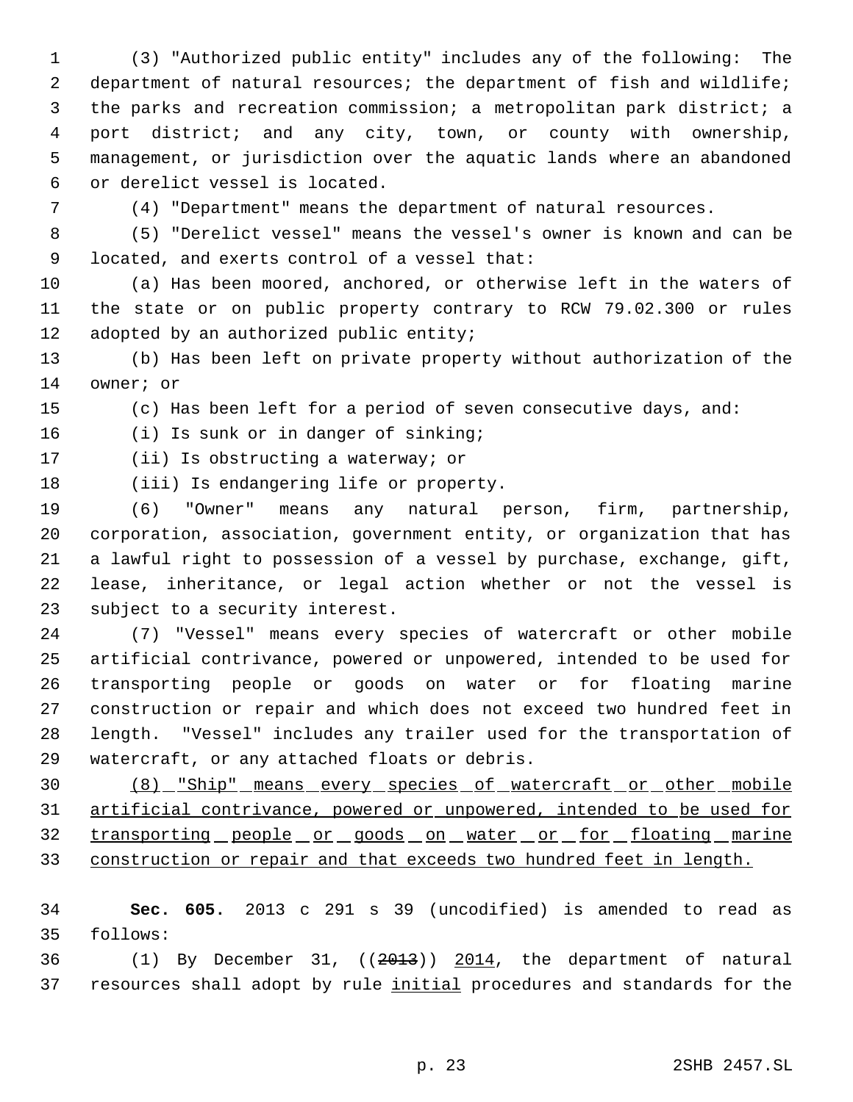(3) "Authorized public entity" includes any of the following: The department of natural resources; the department of fish and wildlife; the parks and recreation commission; a metropolitan park district; a port district; and any city, town, or county with ownership, management, or jurisdiction over the aquatic lands where an abandoned or derelict vessel is located.

(4) "Department" means the department of natural resources.

 (5) "Derelict vessel" means the vessel's owner is known and can be located, and exerts control of a vessel that:

 (a) Has been moored, anchored, or otherwise left in the waters of the state or on public property contrary to RCW 79.02.300 or rules 12 adopted by an authorized public entity;

 (b) Has been left on private property without authorization of the owner; or

(c) Has been left for a period of seven consecutive days, and:

(i) Is sunk or in danger of sinking;

(ii) Is obstructing a waterway; or

(iii) Is endangering life or property.

 (6) "Owner" means any natural person, firm, partnership, corporation, association, government entity, or organization that has a lawful right to possession of a vessel by purchase, exchange, gift, lease, inheritance, or legal action whether or not the vessel is subject to a security interest.

 (7) "Vessel" means every species of watercraft or other mobile artificial contrivance, powered or unpowered, intended to be used for 26 transporting people or goods on water or for floating marine construction or repair and which does not exceed two hundred feet in length. "Vessel" includes any trailer used for the transportation of watercraft, or any attached floats or debris.

 (8) "Ship" means every species of watercraft or other mobile artificial contrivance, powered or unpowered, intended to be used for 32 transporting people or goods on water or for floating marine construction or repair and that exceeds two hundred feet in length.

 **Sec. 605.** 2013 c 291 s 39 (uncodified) is amended to read as follows:

36  $(1)$  By December 31,  $((2013))$  2014, the department of natural 37 resources shall adopt by rule initial procedures and standards for the